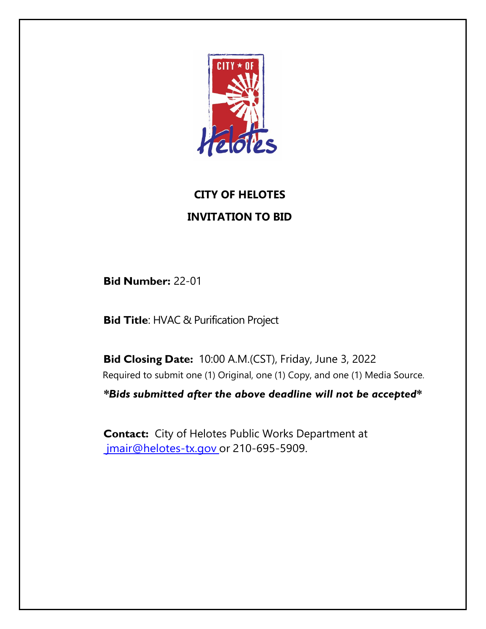

# **CITY OF HELOTES INVITATION TO BID**

**Bid Number:** 22-01

**Bid Title**: HVAC & Purification Project

**Bid Closing Date:** 10:00 A.M.(CST), Friday, June 3, 2022 Required to submit one (1) Original, one (1) Copy, and one (1) Media Source. *\*Bids submitted after the above deadline will not be accepted\** 

**Contact:** City of Helotes Public Works Department at [jmair@helotes-tx.gov](mailto:%20jmair@helotes-tx.gov) or 210-695-5909.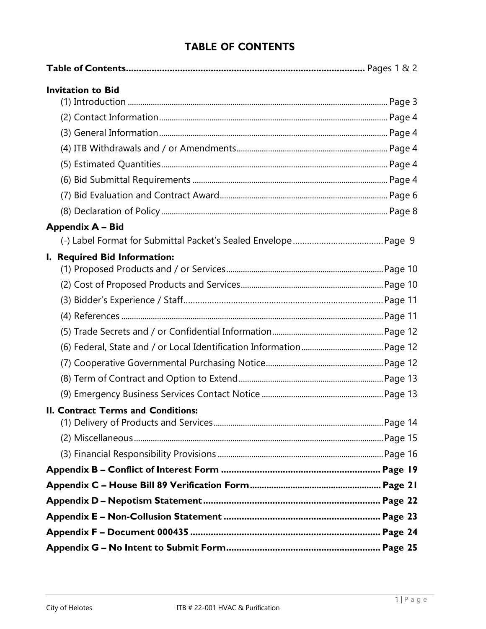# **TABLE OF CONTENTS**

| <b>Invitation to Bid</b>           |  |
|------------------------------------|--|
|                                    |  |
|                                    |  |
|                                    |  |
|                                    |  |
|                                    |  |
|                                    |  |
|                                    |  |
|                                    |  |
| <b>Appendix A - Bid</b>            |  |
|                                    |  |
| I. Required Bid Information:       |  |
|                                    |  |
|                                    |  |
|                                    |  |
|                                    |  |
|                                    |  |
|                                    |  |
|                                    |  |
|                                    |  |
| II. Contract Terms and Conditions: |  |
|                                    |  |
|                                    |  |
|                                    |  |
|                                    |  |
|                                    |  |
|                                    |  |
|                                    |  |
|                                    |  |
|                                    |  |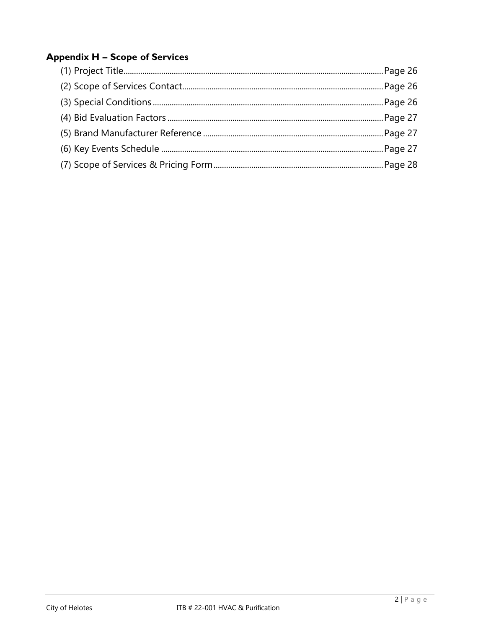# **Appendix H - Scope of Services**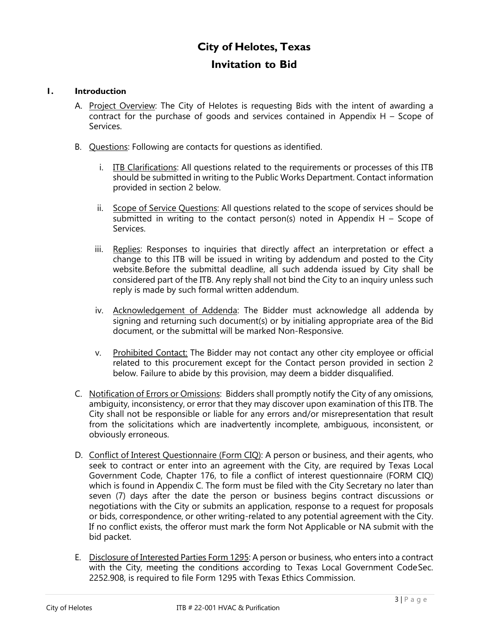# **City of Helotes, Texas Invitation to Bid**

### **1. Introduction**

- A. Project Overview: The City of Helotes is requesting Bids with the intent of awarding a contract for the purchase of goods and services contained in Appendix H – Scope of Services.
- B. Questions: Following are contacts for questions as identified.
	- i. ITB Clarifications: All questions related to the requirements or processes of this ITB should be submitted in writing to the Public Works Department. Contact information provided in section 2 below.
	- ii. Scope of Service Questions: All questions related to the scope of services should be submitted in writing to the contact person(s) noted in Appendix  $H -$  Scope of Services.
	- iii. Replies: Responses to inquiries that directly affect an interpretation or effect a change to this ITB will be issued in writing by addendum and posted to the City website.Before the submittal deadline, all such addenda issued by City shall be considered part of the ITB. Any reply shall not bind the City to an inquiry unless such reply is made by such formal written addendum.
	- iv. Acknowledgement of Addenda: The Bidder must acknowledge all addenda by signing and returning such document(s) or by initialing appropriate area of the Bid document, or the submittal will be marked Non-Responsive.
	- v. Prohibited Contact: The Bidder may not contact any other city employee or official related to this procurement except for the Contact person provided in section 2 below. Failure to abide by this provision, may deem a bidder disqualified.
- C. Notification of Errors or Omissions: Bidders shall promptly notify the City of any omissions, ambiguity, inconsistency, or error that they may discover upon examination of this ITB. The City shall not be responsible or liable for any errors and/or misrepresentation that result from the solicitations which are inadvertently incomplete, ambiguous, inconsistent, or obviously erroneous.
- D. Conflict of Interest Questionnaire (Form CIQ): A person or business, and their agents, who seek to contract or enter into an agreement with the City, are required by Texas Local Government Code, Chapter 176, to file a conflict of interest questionnaire (FORM CIQ) which is found in Appendix C. The form must be filed with the City Secretary no later than seven (7) days after the date the person or business begins contract discussions or negotiations with the City or submits an application, response to a request for proposals or bids, correspondence, or other writing-related to any potential agreement with the City. If no conflict exists, the offeror must mark the form Not Applicable or NA submit with the bid packet.
- E. Disclosure of Interested Parties Form 1295: A person or business, who enters into a contract with the City, meeting the conditions according to Texas Local Government CodeSec. 2252.908, is required to file Form 1295 with Texas Ethics Commission.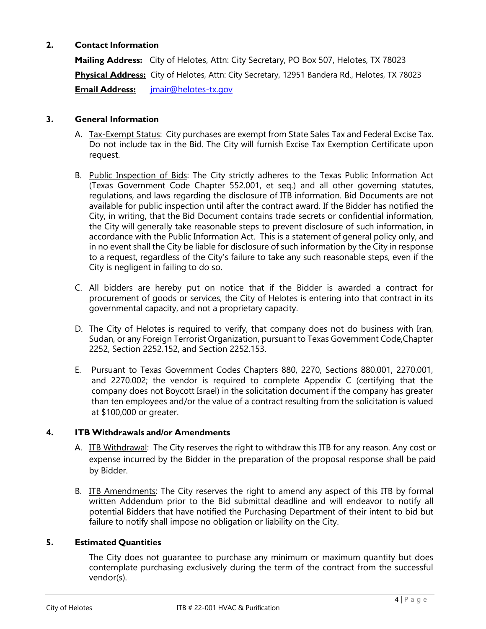# **2. Contact Information**

**Mailing Address:** City of Helotes, Attn: City Secretary, PO Box 507, Helotes, TX 78023 **Physical Address:** City of Helotes, Attn: City Secretary, 12951 Bandera Rd., Helotes, TX 78023 **Email Address:** [jmair@helotes-tx.gov](mailto:jmair@helotes-tx.gov)

# **3. General Information**

- A. Tax-Exempt Status: City purchases are exempt from State Sales Tax and Federal Excise Tax. Do not include tax in the Bid. The City will furnish Excise Tax Exemption Certificate upon request.
- B. Public Inspection of Bids: The City strictly adheres to the Texas Public Information Act (Texas Government Code Chapter 552.001, et seq.) and all other governing statutes, regulations, and laws regarding the disclosure of ITB information. Bid Documents are not available for public inspection until after the contract award. If the Bidder has notified the City, in writing, that the Bid Document contains trade secrets or confidential information, the City will generally take reasonable steps to prevent disclosure of such information, in accordance with the Public Information Act. This is a statement of general policy only, and in no event shall the City be liable for disclosure of such information by the City in response to a request, regardless of the City's failure to take any such reasonable steps, even if the City is negligent in failing to do so.
- C. All bidders are hereby put on notice that if the Bidder is awarded a contract for procurement of goods or services, the City of Helotes is entering into that contract in its governmental capacity, and not a proprietary capacity.
- D. The City of Helotes is required to verify, that company does not do business with Iran, Sudan, or any Foreign Terrorist Organization, pursuant to Texas Government Code,Chapter 2252, Section 2252.152, and Section 2252.153.
- E. Pursuant to Texas Government Codes Chapters 880, 2270, Sections 880.001, 2270.001, and 2270.002; the vendor is required to complete Appendix C (certifying that the company does not Boycott Israel) in the solicitation document if the company has greater than ten employees and/or the value of a contract resulting from the solicitation is valued at \$100,000 or greater.

# **4. ITB Withdrawals and/or Amendments**

- A. ITB Withdrawal: The City reserves the right to withdraw this ITB for any reason. Any cost or expense incurred by the Bidder in the preparation of the proposal response shall be paid by Bidder.
- B. ITB Amendments: The City reserves the right to amend any aspect of this ITB by formal written Addendum prior to the Bid submittal deadline and will endeavor to notify all potential Bidders that have notified the Purchasing Department of their intent to bid but failure to notify shall impose no obligation or liability on the City.

# **5. Estimated Quantities**

The City does not guarantee to purchase any minimum or maximum quantity but does contemplate purchasing exclusively during the term of the contract from the successful vendor(s).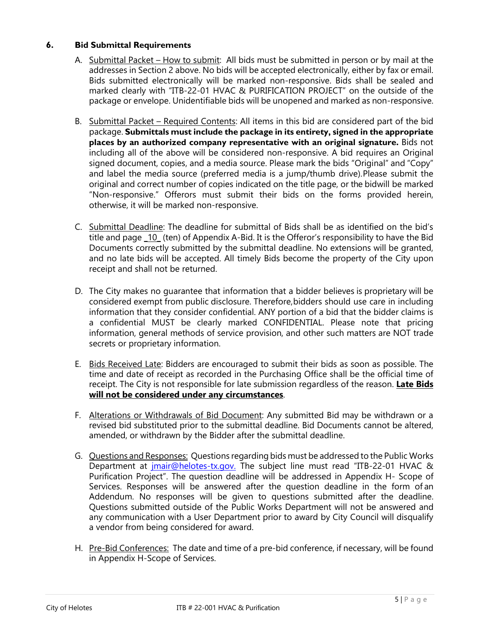# **6. Bid Submittal Requirements**

- A. Submittal Packet How to submit: All bids must be submitted in person or by mail at the addresses in Section 2 above. No bids will be accepted electronically, either by fax or email. Bids submitted electronically will be marked non-responsive. Bids shall be sealed and marked clearly with "ITB-22-01 HVAC & PURIFICATION PROJECT" on the outside of the package or envelope. Unidentifiable bids will be unopened and marked as non-responsive.
- B. Submittal Packet Required Contents: All items in this bid are considered part of the bid package. **Submittals must include the package in its entirety, signed in the appropriate places by an authorized company representative with an original signature.** Bids not including all of the above will be considered non-responsive. A bid requires an Original signed document, copies, and a media source. Please mark the bids "Original" and "Copy" and label the media source (preferred media is a jump/thumb drive).Please submit the original and correct number of copies indicated on the title page, or the bidwill be marked "Non-responsive." Offerors must submit their bids on the forms provided herein, otherwise, it will be marked non-responsive.
- C. Submittal Deadline: The deadline for submittal of Bids shall be as identified on the bid's title and page 10 (ten) of Appendix A-Bid. It is the Offeror's responsibility to have the Bid Documents correctly submitted by the submittal deadline. No extensions will be granted, and no late bids will be accepted. All timely Bids become the property of the City upon receipt and shall not be returned.
- D. The City makes no guarantee that information that a bidder believes is proprietary will be considered exempt from public disclosure. Therefore,bidders should use care in including information that they consider confidential. ANY portion of a bid that the bidder claims is a confidential MUST be clearly marked CONFIDENTIAL. Please note that pricing information, general methods of service provision, and other such matters are NOT trade secrets or proprietary information.
- E. Bids Received Late: Bidders are encouraged to submit their bids as soon as possible. The time and date of receipt as recorded in the Purchasing Office shall be the official time of receipt. The City is not responsible for late submission regardless of the reason. **Late Bids will not be considered under any circumstances**.
- F. Alterations or Withdrawals of Bid Document: Any submitted Bid may be withdrawn or a revised bid substituted prior to the submittal deadline. Bid Documents cannot be altered, amended, or withdrawn by the Bidder after the submittal deadline.
- G. Questions and Responses: Questions regarding bids must be addressed to the Public Works Department at *imair@helotes-tx.gov*. The subject line must read "ITB-22-01 HVAC & Purification Project". The question deadline will be addressed in Appendix H- Scope of Services. Responses will be answered after the question deadline in the form of an Addendum. No responses will be given to questions submitted after the deadline. Questions submitted outside of the Public Works Department will not be answered and any communication with a User Department prior to award by City Council will disqualify a vendor from being considered for award.
- H. Pre-Bid Conferences: The date and time of a pre-bid conference, if necessary, will be found in Appendix H-Scope of Services.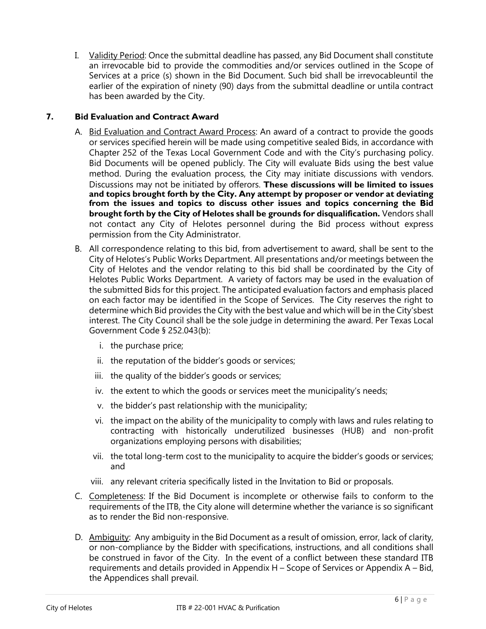I. Validity Period: Once the submittal deadline has passed, any Bid Document shall constitute an irrevocable bid to provide the commodities and/or services outlined in the Scope of Services at a price (s) shown in the Bid Document. Such bid shall be irrevocableuntil the earlier of the expiration of ninety (90) days from the submittal deadline or untila contract has been awarded by the City.

# **7. Bid Evaluation and Contract Award**

- A. Bid Evaluation and Contract Award Process: An award of a contract to provide the goods or services specified herein will be made using competitive sealed Bids, in accordance with Chapter 252 of the Texas Local Government Code and with the City's purchasing policy. Bid Documents will be opened publicly. The City will evaluate Bids using the best value method. During the evaluation process, the City may initiate discussions with vendors. Discussions may not be initiated by offerors. **These discussions will be limited to issues and topics brought forth by the City. Any attempt by proposer or vendor at deviating from the issues and topics to discuss other issues and topics concerning the Bid brought forth by the City of Helotes shall be grounds for disqualification.** Vendors shall not contact any City of Helotes personnel during the Bid process without express permission from the City Administrator.
- B. All correspondence relating to this bid, from advertisement to award, shall be sent to the City of Helotes's Public Works Department. All presentations and/or meetings between the City of Helotes and the vendor relating to this bid shall be coordinated by the City of Helotes Public Works Department. A variety of factors may be used in the evaluation of the submitted Bids for this project. The anticipated evaluation factors and emphasis placed on each factor may be identified in the Scope of Services. The City reserves the right to determine which Bid provides the City with the best value and which will be in the City'sbest interest. The City Council shall be the sole judge in determining the award. Per Texas Local Government Code § 252.043(b):
	- i. the purchase price;
	- ii. the reputation of the bidder's goods or services;
	- iii. the quality of the bidder's goods or services;
	- iv. the extent to which the goods or services meet the municipality's needs;
	- v. the bidder's past relationship with the municipality;
	- vi. the impact on the ability of the municipality to comply with laws and rules relating to contracting with historically underutilized businesses (HUB) and non-profit organizations employing persons with disabilities;
	- vii. the total long-term cost to the municipality to acquire the bidder's goods or services; and
	- viii. any relevant criteria specifically listed in the Invitation to Bid or proposals.
- C. Completeness: If the Bid Document is incomplete or otherwise fails to conform to the requirements of the ITB, the City alone will determine whether the variance is so significant as to render the Bid non-responsive.
- D. Ambiguity: Any ambiguity in the Bid Document as a result of omission, error, lack of clarity, or non-compliance by the Bidder with specifications, instructions, and all conditions shall be construed in favor of the City. In the event of a conflict between these standard ITB requirements and details provided in Appendix H – Scope of Services or Appendix A – Bid, the Appendices shall prevail.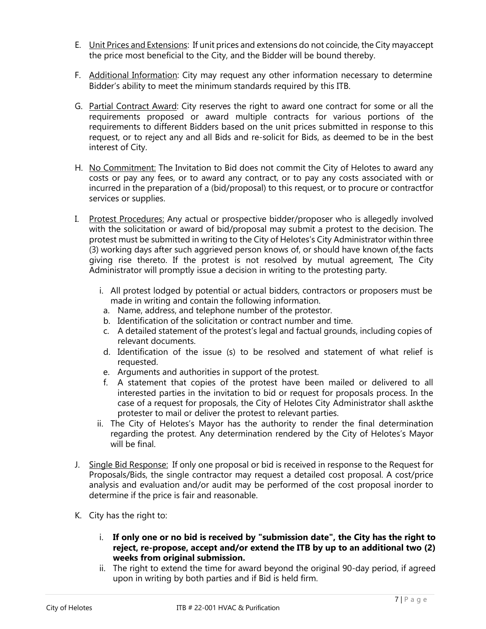- E. Unit Prices and Extensions: If unit prices and extensions do not coincide, the City mayaccept the price most beneficial to the City, and the Bidder will be bound thereby.
- F. Additional Information: City may request any other information necessary to determine Bidder's ability to meet the minimum standards required by this ITB.
- G. Partial Contract Award: City reserves the right to award one contract for some or all the requirements proposed or award multiple contracts for various portions of the requirements to different Bidders based on the unit prices submitted in response to this request, or to reject any and all Bids and re-solicit for Bids, as deemed to be in the best interest of City.
- H. No Commitment: The Invitation to Bid does not commit the City of Helotes to award any costs or pay any fees, or to award any contract, or to pay any costs associated with or incurred in the preparation of a (bid/proposal) to this request, or to procure or contractfor services or supplies.
- I. Protest Procedures: Any actual or prospective bidder/proposer who is allegedly involved with the solicitation or award of bid/proposal may submit a protest to the decision. The protest must be submitted in writing to the City of Helotes's City Administrator within three (3) working days after such aggrieved person knows of, or should have known of, the facts giving rise thereto. If the protest is not resolved by mutual agreement, The City Administrator will promptly issue a decision in writing to the protesting party.
	- i. All protest lodged by potential or actual bidders, contractors or proposers must be made in writing and contain the following information.
	- a. Name, address, and telephone number of the protestor.
	- b. Identification of the solicitation or contract number and time.
	- c. A detailed statement of the protest's legal and factual grounds, including copies of relevant documents.
	- d. Identification of the issue (s) to be resolved and statement of what relief is requested.
	- e. Arguments and authorities in support of the protest.
	- f. A statement that copies of the protest have been mailed or delivered to all interested parties in the invitation to bid or request for proposals process. In the case of a request for proposals, the City of Helotes City Administrator shall ask the protester to mail or deliver the protest to relevant parties.
	- ii. The City of Helotes's Mayor has the authority to render the final determination regarding the protest. Any determination rendered by the City of Helotes's Mayor will be final.
- J. Single Bid Response: If only one proposal or bid is received in response to the Request for Proposals/Bids, the single contractor may request a detailed cost proposal. A cost/price analysis and evaluation and/or audit may be performed of the cost proposal inorder to determine if the price is fair and reasonable.
- K. City has the right to:
	- i. **If only one or no bid is received by "submission date", the City has the right to reject, re-propose, accept and/or extend the ITB by up to an additional two (2) weeks from original submission.**
	- ii. The right to extend the time for award beyond the original 90-day period, if agreed upon in writing by both parties and if Bid is held firm.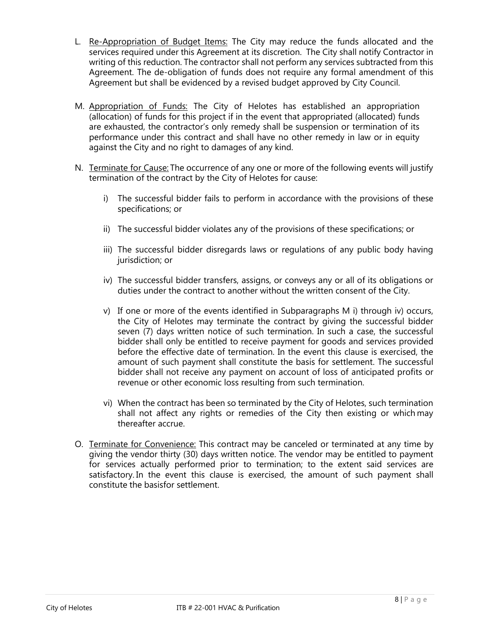- L. Re-Appropriation of Budget Items: The City may reduce the funds allocated and the services required under this Agreement at its discretion. The City shall notify Contractor in writing of this reduction. The contractor shall not perform any services subtracted from this Agreement. The de-obligation of funds does not require any formal amendment of this Agreement but shall be evidenced by a revised budget approved by City Council.
- M. Appropriation of Funds: The City of Helotes has established an appropriation (allocation) of funds for this project if in the event that appropriated (allocated) funds are exhausted, the contractor's only remedy shall be suspension or termination of its performance under this contract and shall have no other remedy in law or in equity against the City and no right to damages of any kind.
- N. Terminate for Cause: The occurrence of any one or more of the following events will justify termination of the contract by the City of Helotes for cause:
	- i) The successful bidder fails to perform in accordance with the provisions of these specifications; or
	- ii) The successful bidder violates any of the provisions of these specifications; or
	- iii) The successful bidder disregards laws or regulations of any public body having jurisdiction; or
	- iv) The successful bidder transfers, assigns, or conveys any or all of its obligations or duties under the contract to another without the written consent of the City.
	- v) If one or more of the events identified in Subparagraphs M i) through iv) occurs, the City of Helotes may terminate the contract by giving the successful bidder seven (7) days written notice of such termination. In such a case, the successful bidder shall only be entitled to receive payment for goods and services provided before the effective date of termination. In the event this clause is exercised, the amount of such payment shall constitute the basis for settlement. The successful bidder shall not receive any payment on account of loss of anticipated profits or revenue or other economic loss resulting from such termination.
	- vi) When the contract has been so terminated by the City of Helotes, such termination shall not affect any rights or remedies of the City then existing or which may thereafter accrue.
- O. Terminate for Convenience: This contract may be canceled or terminated at any time by giving the vendor thirty (30) days written notice. The vendor may be entitled to payment for services actually performed prior to termination; to the extent said services are satisfactory. In the event this clause is exercised, the amount of such payment shall constitute the basisfor settlement.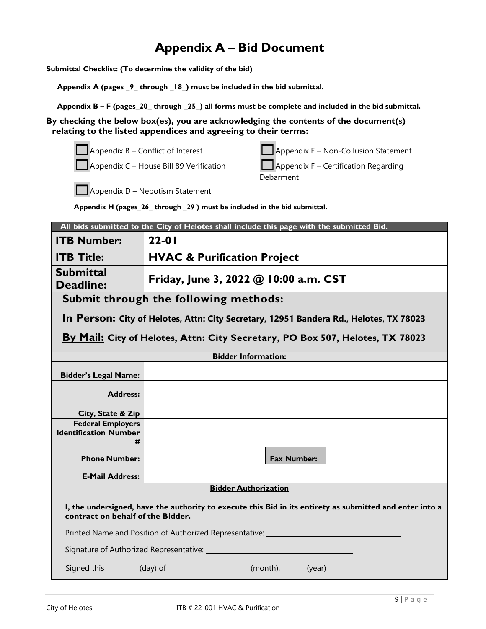# **Appendix A – Bid Document**

**Submittal Checklist: (To determine the validity of the bid)**

**Appendix A (pages \_9\_ through \_18\_) must be included in the bid submittal.**

 **Appendix B – F (pages\_20\_ through \_25\_) all forms must be complete and included in the bid submittal.**

**By checking the below box(es), you are acknowledging the contents of the document(s) relating to the listed appendices and agreeing to their terms:**

| $\Box$ Appendix B – Conflict of Interest | $\Box$ Appendix E – Non-Collusion Statement |
|------------------------------------------|---------------------------------------------|
| Appendix C - House Bill 89 Verification  | $\Box$ Appendix F – Certification Regarding |
|                                          | Debarment                                   |
|                                          |                                             |

Appendix D – Nepotism Statement

**Appendix H (pages\_26\_ through \_29 ) must be included in the bid submittal.**

| All bids submitted to the City of Helotes shall include this page with the submitted Bid.                                                     |                                                                                        |  |  |
|-----------------------------------------------------------------------------------------------------------------------------------------------|----------------------------------------------------------------------------------------|--|--|
| <b>ITB Number:</b>                                                                                                                            | $22 - 01$                                                                              |  |  |
| <b>ITB Title:</b>                                                                                                                             | <b>HVAC &amp; Purification Project</b>                                                 |  |  |
| <b>Submittal</b><br><b>Deadline:</b>                                                                                                          | Friday, June 3, 2022 $@$ 10:00 a.m. CST                                                |  |  |
|                                                                                                                                               | Submit through the following methods:                                                  |  |  |
|                                                                                                                                               | In Person: City of Helotes, Attn: City Secretary, 12951 Bandera Rd., Helotes, TX 78023 |  |  |
| By Mail: City of Helotes, Attn: City Secretary, PO Box 507, Helotes, TX 78023                                                                 |                                                                                        |  |  |
| <b>Bidder Information:</b>                                                                                                                    |                                                                                        |  |  |
| <b>Bidder's Legal Name:</b>                                                                                                                   |                                                                                        |  |  |
| <b>Address:</b>                                                                                                                               |                                                                                        |  |  |
| City, State & Zip                                                                                                                             |                                                                                        |  |  |
| <b>Federal Employers</b><br><b>Identification Number</b><br>#                                                                                 |                                                                                        |  |  |
| <b>Phone Number:</b>                                                                                                                          | <b>Fax Number:</b>                                                                     |  |  |
| <b>E-Mail Address:</b>                                                                                                                        |                                                                                        |  |  |
| <b>Bidder Authorization</b>                                                                                                                   |                                                                                        |  |  |
| I, the undersigned, have the authority to execute this Bid in its entirety as submitted and enter into a<br>contract on behalf of the Bidder. |                                                                                        |  |  |
| Printed Name and Position of Authorized Representative: ________________________                                                              |                                                                                        |  |  |
|                                                                                                                                               |                                                                                        |  |  |
|                                                                                                                                               | Signed this ________(day) of _____________________(month), ______(year)                |  |  |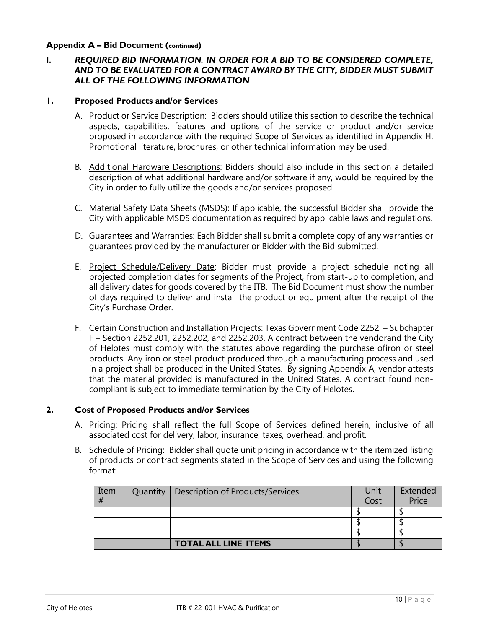### **Appendix A – Bid Document (continued)**

# **I.** *REQUIRED BID INFORMATION. IN ORDER FOR A BID TO BE CONSIDERED COMPLETE, AND TO BE EVALUATED FOR A CONTRACT AWARD BY THE CITY, BIDDER MUST SUBMIT ALL OF THE FOLLOWING INFORMATION*

#### **1. Proposed Products and/or Services**

- A. Product or Service Description: Bidders should utilize this section to describe the technical aspects, capabilities, features and options of the service or product and/or service proposed in accordance with the required Scope of Services as identified in Appendix H. Promotional literature, brochures, or other technical information may be used.
- B. Additional Hardware Descriptions: Bidders should also include in this section a detailed description of what additional hardware and/or software if any, would be required by the City in order to fully utilize the goods and/or services proposed.
- C. Material Safety Data Sheets (MSDS): If applicable, the successful Bidder shall provide the City with applicable MSDS documentation as required by applicable laws and regulations.
- D. Guarantees and Warranties: Each Bidder shall submit a complete copy of any warranties or guarantees provided by the manufacturer or Bidder with the Bid submitted.
- E. Project Schedule/Delivery Date: Bidder must provide a project schedule noting all projected completion dates for segments of the Project, from start-up to completion, and all delivery dates for goods covered by the ITB. The Bid Document must show the number of days required to deliver and install the product or equipment after the receipt of the City's Purchase Order.
- F. Certain Construction and Installation Projects: Texas Government Code 2252 Subchapter F – Section 2252.201, 2252.202, and 2252.203. A contract between the vendorand the City of Helotes must comply with the statutes above regarding the purchase ofiron or steel products. Any iron or steel product produced through a manufacturing process and used in a project shall be produced in the United States. By signing Appendix A, vendor attests that the material provided is manufactured in the United States. A contract found noncompliant is subject to immediate termination by the City of Helotes.

### **2. Cost of Proposed Products and/or Services**

- A. Pricing: Pricing shall reflect the full Scope of Services defined herein, inclusive of all associated cost for delivery, labor, insurance, taxes, overhead, and profit.
- B. Schedule of Pricing: Bidder shall quote unit pricing in accordance with the itemized listing of products or contract segments stated in the Scope of Services and using the following format:

| Item<br># | Quantity | Description of Products/Services | Unit<br>Cost | Extended<br>Price |
|-----------|----------|----------------------------------|--------------|-------------------|
|           |          |                                  |              |                   |
|           |          |                                  |              |                   |
|           |          |                                  |              |                   |
|           |          | <b>TOTAL ALL LINE ITEMS</b>      |              |                   |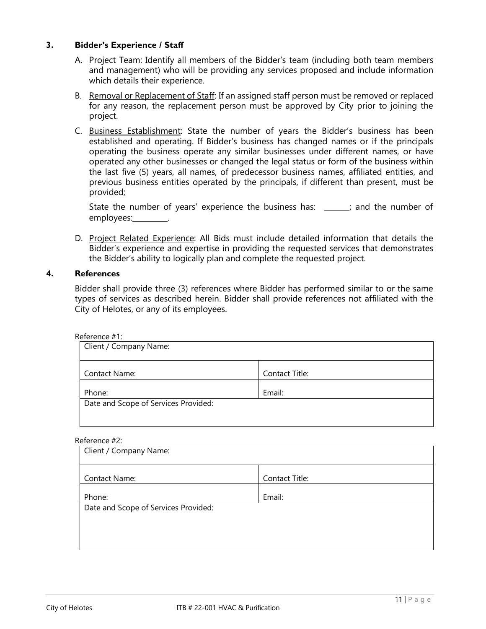### **3. Bidder's Experience / Staff**

- A. Project Team: Identify all members of the Bidder's team (including both team members and management) who will be providing any services proposed and include information which details their experience.
- B. Removal or Replacement of Staff: If an assigned staff person must be removed or replaced for any reason, the replacement person must be approved by City prior to joining the project.
- C. Business Establishment: State the number of years the Bidder's business has been established and operating. If Bidder's business has changed names or if the principals operating the business operate any similar businesses under different names, or have operated any other businesses or changed the legal status or form of the business within the last five (5) years, all names, of predecessor business names, affiliated entities, and previous business entities operated by the principals, if different than present, must be provided;

State the number of years' experience the business has:  $\cdot$  ; and the number of employees: .

D. Project Related Experience: All Bids must include detailed information that details the Bidder's experience and expertise in providing the requested services that demonstrates the Bidder's ability to logically plan and complete the requested project.

### **4. References**

Bidder shall provide three (3) references where Bidder has performed similar to or the same types of services as described herein. Bidder shall provide references not affiliated with the City of Helotes, or any of its employees.

#### Reference #1:

| Client / Company Name:               |                |  |
|--------------------------------------|----------------|--|
| Contact Name:                        | Contact Title: |  |
| Phone:                               | Email:         |  |
| Date and Scope of Services Provided: |                |  |

#### Reference #2:

| Client / Company Name:               |                |  |
|--------------------------------------|----------------|--|
| Contact Name:                        | Contact Title: |  |
| Phone:                               | Email:         |  |
| Date and Scope of Services Provided: |                |  |
|                                      |                |  |
|                                      |                |  |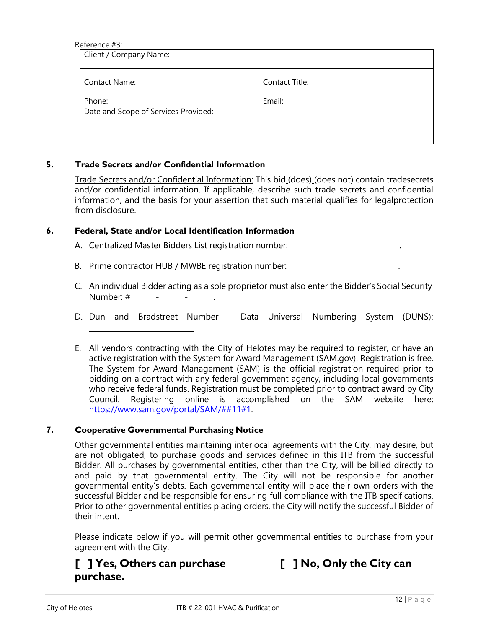#### Reference #3:

| Client / Company Name: |  |  |
|------------------------|--|--|
| Contact Title:         |  |  |
| Email:                 |  |  |
|                        |  |  |
|                        |  |  |
|                        |  |  |

#### **5. Trade Secrets and/or Confidential Information**

Trade Secrets and/or Confidential Information: This bid (does) (does not) contain tradesecrets and/or confidential information. If applicable, describe such trade secrets and confidential information, and the basis for your assertion that such material qualifies for legalprotection from disclosure.

#### **6. Federal, State and/or Local Identification Information**

- A. Centralized Master Bidders List registration number: \_\_\_\_\_\_\_\_\_\_\_\_\_\_\_\_\_\_\_\_\_\_\_\_.
- B. Prime contractor HUB / MWBE registration number:
- C. An individual Bidder acting as a sole proprietor must also enter the Bidder's Social Security Number: #\_\_\_\_\_\_\_\_\_\_\_\_\_\_\_\_\_\_\_\_\_\_\_\_\_.
- D. Dun and Bradstreet Number Data Universal Numbering System (DUNS):
- E. All vendors contracting with the City of Helotes may be required to register, or have an active registration with the System for Award Management (SAM.gov). Registration is free. The System for Award Management (SAM) is the official registration required prior to bidding on a contract with any federal government agency, including local governments who receive federal funds. Registration must be completed prior to contract award by City Council. Registering online is accomplished on the SAM website here: [https://www.sam.gov/portal/SAM/##11#1.](https://www.sam.gov/portal/SAM/)

#### **7. Cooperative Governmental Purchasing Notice**

.

Other governmental entities maintaining interlocal agreements with the City, may desire, but are not obligated, to purchase goods and services defined in this ITB from the successful Bidder. All purchases by governmental entities, other than the City, will be billed directly to and paid by that governmental entity. The City will not be responsible for another governmental entity's debts. Each governmental entity will place their own orders with the successful Bidder and be responsible for ensuring full compliance with the ITB specifications. Prior to other governmental entities placing orders, the City will notify the successful Bidder of their intent.

Please indicate below if you will permit other governmental entities to purchase from your agreement with the City.

# **[ ] Yes, Others can purchase [ ] No, Only the City can purchase.**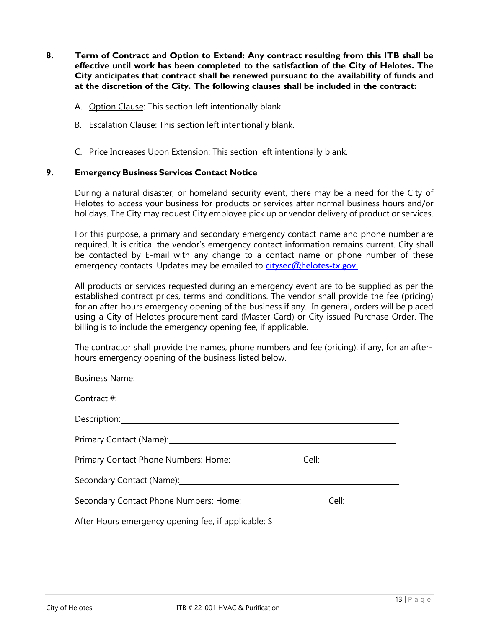- **8. Term of Contract and Option to Extend: Any contract resulting from this ITB shall be effective until work has been completed to the satisfaction of the City of Helotes. The City anticipates that contract shall be renewed pursuant to the availability of funds and at the discretion of the City. The following clauses shall be included in the contract:**
	- A. Option Clause: This section left intentionally blank.
	- B. Escalation Clause: This section left intentionally blank.
	- C. Price Increases Upon Extension: This section left intentionally blank.

#### **9. Emergency Business Services Contact Notice**

During a natural disaster, or homeland security event, there may be a need for the City of Helotes to access your business for products or services after normal business hours and/or holidays. The City may request City employee pick up or vendor delivery of product or services.

For this purpose, a primary and secondary emergency contact name and phone number are required. It is critical the vendor's emergency contact information remains current. City shall be contacted by E-mail with any change to a contact name or phone number of these emergency contacts. Updates may be emailed to [citysec@helotes-tx.gov](mailto:citysec@helotes-tx.gov.).

All products or services requested during an emergency event are to be supplied as per the established contract prices, terms and conditions. The vendor shall provide the fee (pricing) for an after-hours emergency opening of the business if any. In general, orders will be placed using a City of Helotes procurement card (Master Card) or City issued Purchase Order. The billing is to include the emergency opening fee, if applicable.

The contractor shall provide the names, phone numbers and fee (pricing), if any, for an afterhours emergency opening of the business listed below.

| Business Name: 1999 Contract Contract Contract Contract Contract Contract Contract Contract Contract Contract Contract Contract Contract Contract Contract Contract Contract Contract Contract Contract Contract Contract Cont |  |
|--------------------------------------------------------------------------------------------------------------------------------------------------------------------------------------------------------------------------------|--|
|                                                                                                                                                                                                                                |  |
|                                                                                                                                                                                                                                |  |
|                                                                                                                                                                                                                                |  |
| Primary Contact Phone Numbers: Home: Cell: Cell: Cell:                                                                                                                                                                         |  |
|                                                                                                                                                                                                                                |  |
| Secondary Contact Phone Numbers: Home: 1988 1999                                                                                                                                                                               |  |
| After Hours emergency opening fee, if applicable: \$                                                                                                                                                                           |  |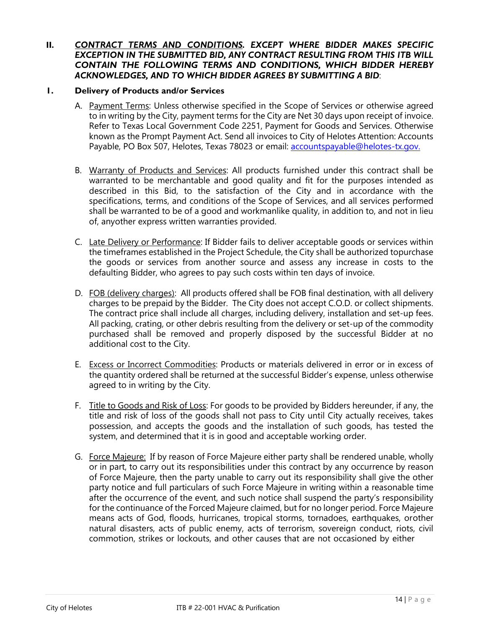### **II.** *CONTRACT TERMS AND CONDITIONS. EXCEPT WHERE BIDDER MAKES SPECIFIC EXCEPTION IN THE SUBMITTED BID, ANY CONTRACT RESULTING FROM THIS ITB WILL CONTAIN THE FOLLOWING TERMS AND CONDITIONS, WHICH BIDDER HEREBY ACKNOWLEDGES, AND TO WHICH BIDDER AGREES BY SUBMITTING A BID*:

### **1. Delivery of Products and/or Services**

- A. Payment Terms: Unless otherwise specified in the Scope of Services or otherwise agreed to in writing by the City, payment terms for the City are Net 30 days upon receipt of invoice. Refer to Texas Local Government Code 2251, Payment for Goods and Services. Otherwise known as the Prompt Payment Act. Send all invoices to City of Helotes Attention: Accounts Payable, PO Box 507, Helotes, Texas 78023 or email: [accountspayable@helotes-tx.gov.](mailto:accountspayable@helotes-tx.gov.)
- B. Warranty of Products and Services: All products furnished under this contract shall be warranted to be merchantable and good quality and fit for the purposes intended as described in this Bid, to the satisfaction of the City and in accordance with the specifications, terms, and conditions of the Scope of Services, and all services performed shall be warranted to be of a good and workmanlike quality, in addition to, and not in lieu of, anyother express written warranties provided.
- C. Late Delivery or Performance: If Bidder fails to deliver acceptable goods or services within the timeframes established in the Project Schedule, the City shall be authorized topurchase the goods or services from another source and assess any increase in costs to the defaulting Bidder, who agrees to pay such costs within ten days of invoice.
- D. FOB (delivery charges): All products offered shall be FOB final destination, with all delivery charges to be prepaid by the Bidder. The City does not accept C.O.D. or collect shipments. The contract price shall include all charges, including delivery, installation and set-up fees. All packing, crating, or other debris resulting from the delivery or set-up of the commodity purchased shall be removed and properly disposed by the successful Bidder at no additional cost to the City.
- E. Excess or Incorrect Commodities: Products or materials delivered in error or in excess of the quantity ordered shall be returned at the successful Bidder's expense, unless otherwise agreed to in writing by the City.
- F. Title to Goods and Risk of Loss: For goods to be provided by Bidders hereunder, if any, the title and risk of loss of the goods shall not pass to City until City actually receives, takes possession, and accepts the goods and the installation of such goods, has tested the system, and determined that it is in good and acceptable working order.
- G. Force Majeure: If by reason of Force Majeure either party shall be rendered unable, wholly or in part, to carry out its responsibilities under this contract by any occurrence by reason of Force Majeure, then the party unable to carry out its responsibility shall give the other party notice and full particulars of such Force Majeure in writing within a reasonable time after the occurrence of the event, and such notice shall suspend the party's responsibility for the continuance of the Forced Majeure claimed, but for no longer period. Force Majeure means acts of God, floods, hurricanes, tropical storms, tornadoes, earthquakes, orother natural disasters, acts of public enemy, acts of terrorism, sovereign conduct, riots, civil commotion, strikes or lockouts, and other causes that are not occasioned by either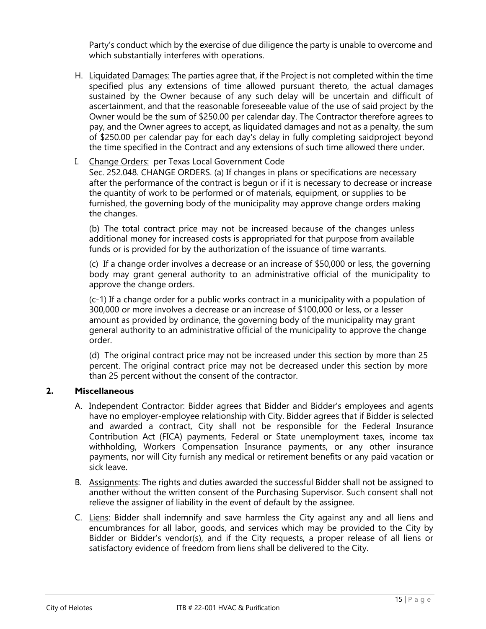Party's conduct which by the exercise of due diligence the party is unable to overcome and which substantially interferes with operations.

H. Liquidated Damages: The parties agree that, if the Project is not completed within the time specified plus any extensions of time allowed pursuant thereto, the actual damages sustained by the Owner because of any such delay will be uncertain and difficult of ascertainment, and that the reasonable foreseeable value of the use of said project by the Owner would be the sum of \$250.00 per calendar day. The Contractor therefore agrees to pay, and the Owner agrees to accept, as liquidated damages and not as a penalty, the sum of \$250.00 per calendar pay for each day's delay in fully completing saidproject beyond the time specified in the Contract and any extensions of such time allowed there under.

# I. Change Orders: per Texas Local Government Code

Sec. 252.048. CHANGE ORDERS. (a) If changes in plans or specifications are necessary after the performance of the contract is begun or if it is necessary to decrease or increase the quantity of work to be performed or of materials, equipment, or supplies to be furnished, the governing body of the municipality may approve change orders making the changes.

(b) The total contract price may not be increased because of the changes unless additional money for increased costs is appropriated for that purpose from available funds or is provided for by the authorization of the issuance of time warrants.

(c) If a change order involves a decrease or an increase of \$50,000 or less, the governing body may grant general authority to an administrative official of the municipality to approve the change orders.

(c-1) If a change order for a public works contract in a municipality with a population of 300,000 or more involves a decrease or an increase of \$100,000 or less, or a lesser amount as provided by ordinance, the governing body of the municipality may grant general authority to an administrative official of the municipality to approve the change order.

(d) The original contract price may not be increased under this section by more than 25 percent. The original contract price may not be decreased under this section by more than 25 percent without the consent of the contractor.

# **2. Miscellaneous**

- A. Independent Contractor: Bidder agrees that Bidder and Bidder's employees and agents have no employer-employee relationship with City. Bidder agrees that if Bidder is selected and awarded a contract, City shall not be responsible for the Federal Insurance Contribution Act (FICA) payments, Federal or State unemployment taxes, income tax withholding, Workers Compensation Insurance payments, or any other insurance payments, nor will City furnish any medical or retirement benefits or any paid vacation or sick leave.
- B. Assignments: The rights and duties awarded the successful Bidder shall not be assigned to another without the written consent of the Purchasing Supervisor. Such consent shall not relieve the assigner of liability in the event of default by the assignee.
- C. Liens: Bidder shall indemnify and save harmless the City against any and all liens and encumbrances for all labor, goods, and services which may be provided to the City by Bidder or Bidder's vendor(s), and if the City requests, a proper release of all liens or satisfactory evidence of freedom from liens shall be delivered to the City.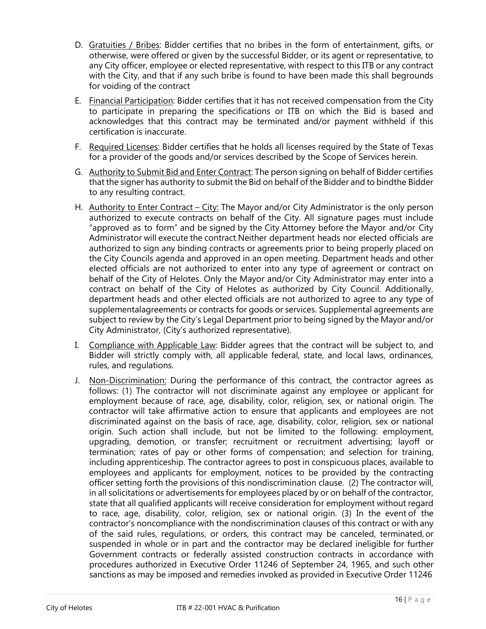- D. Gratuities / Bribes: Bidder certifies that no bribes in the form of entertainment, gifts, or otherwise, were offered or given by the successful Bidder, or its agent or representative, to any City officer, employee or elected representative, with respect to this ITB or any contract with the City, and that if any such bribe is found to have been made this shall begrounds for voiding of the contract
- E. Financial Participation: Bidder certifies that it has not received compensation from the City to participate in preparing the specifications or ITB on which the Bid is based and acknowledges that this contract may be terminated and/or payment withheld if this certification is inaccurate.
- F. Required Licenses: Bidder certifies that he holds all licenses required by the State of Texas for a provider of the goods and/or services described by the Scope of Services herein.
- G. Authority to Submit Bid and Enter Contract: The person signing on behalf of Bidder certifies that the signer has authority to submit the Bid on behalf of the Bidder and to bindthe Bidder to any resulting contract.
- H. Authority to Enter Contract City: The Mayor and/or City Administrator is the only person authorized to execute contracts on behalf of the City. All signature pages must include "approved as to form" and be signed by the City Attorney before the Mayor and/or City Administrator will execute the contract.Neither department heads nor elected officials are authorized to sign any binding contracts or agreements prior to being properly placed on the City Councils agenda and approved in an open meeting. Department heads and other elected officials are not authorized to enter into any type of agreement or contract on behalf of the City of Helotes. Only the Mayor and/or City Administrator may enter into a contract on behalf of the City of Helotes as authorized by City Council. Additionally, department heads and other elected officials are not authorized to agree to any type of supplementalagreements or contracts for goods or services. Supplemental agreements are subject to review by the City's Legal Department prior to being signed by the Mayor and/or City Administrator, (City's authorized representative).
- I. Compliance with Applicable Law: Bidder agrees that the contract will be subject to, and Bidder will strictly comply with, all applicable federal, state, and local laws, ordinances, rules, and regulations.
- J. Non-Discrimination: During the performance of this contract, the contractor agrees as follows: (1) The contractor will not discriminate against any employee or applicant for employment because of race, age, disability, color, religion, sex, or national origin. The contractor will take affirmative action to ensure that applicants and employees are not discriminated against on the basis of race, age, disability, color, religion, sex or national origin. Such action shall include, but not be limited to the following: employment, upgrading, demotion, or transfer; recruitment or recruitment advertising; layoff or termination; rates of pay or other forms of compensation; and selection for training, including apprenticeship. The contractor agrees to post in conspicuous places, available to employees and applicants for employment, notices to be provided by the contracting officer setting forth the provisions of this nondiscrimination clause. (2) The contractor will, in all solicitations or advertisements for employees placed by or on behalf of the contractor, state that all qualified applicants will receive consideration for employment without regard to race, age, disability, color, religion, sex or national origin. (3) In the event of the contractor's noncompliance with the nondiscrimination clauses of this contract or with any of the said rules, regulations, or orders, this contract may be canceled, terminated, or suspended in whole or in part and the contractor may be declared ineligible for further Government contracts or federally assisted construction contracts in accordance with procedures authorized in Executive Order 11246 of September 24, 1965, and such other sanctions as may be imposed and remedies invoked as provided in Executive Order 11246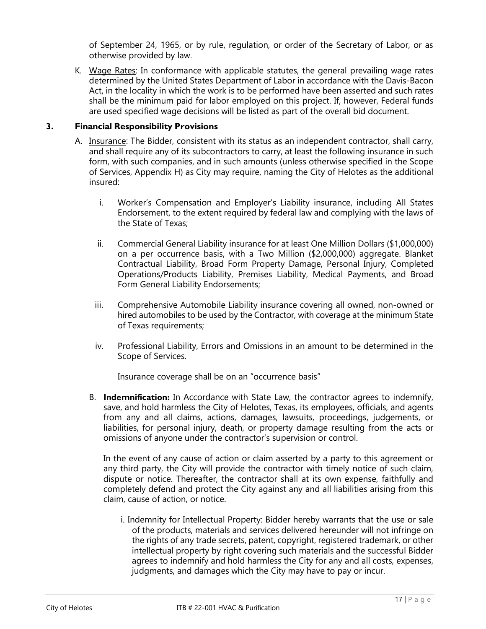of September 24, 1965, or by rule, regulation, or order of the Secretary of Labor, or as otherwise provided by law.

K. Wage Rates: In conformance with applicable statutes, the general prevailing wage rates determined by the United States Department of Labor in accordance with the Davis-Bacon Act, in the locality in which the work is to be performed have been asserted and such rates shall be the minimum paid for labor employed on this project. If, however, Federal funds are used specified wage decisions will be listed as part of the overall bid document.

# **3. Financial Responsibility Provisions**

- A. Insurance: The Bidder, consistent with its status as an independent contractor, shall carry, and shall require any of its subcontractors to carry, at least the following insurance in such form, with such companies, and in such amounts (unless otherwise specified in the Scope of Services, Appendix H) as City may require, naming the City of Helotes as the additional insured:
	- i. Worker's Compensation and Employer's Liability insurance, including All States Endorsement, to the extent required by federal law and complying with the laws of the State of Texas;
	- ii. Commercial General Liability insurance for at least One Million Dollars (\$1,000,000) on a per occurrence basis, with a Two Million (\$2,000,000) aggregate. Blanket Contractual Liability, Broad Form Property Damage, Personal Injury, Completed Operations/Products Liability, Premises Liability, Medical Payments, and Broad Form General Liability Endorsements;
	- iii. Comprehensive Automobile Liability insurance covering all owned, non-owned or hired automobiles to be used by the Contractor, with coverage at the minimum State of Texas requirements;
	- iv. Professional Liability, Errors and Omissions in an amount to be determined in the Scope of Services.

Insurance coverage shall be on an "occurrence basis"

B. **Indemnification:** In Accordance with State Law, the contractor agrees to indemnify, save, and hold harmless the City of Helotes, Texas, its employees, officials, and agents from any and all claims, actions, damages, lawsuits, proceedings, judgements, or liabilities, for personal injury, death, or property damage resulting from the acts or omissions of anyone under the contractor's supervision or control.

In the event of any cause of action or claim asserted by a party to this agreement or any third party, the City will provide the contractor with timely notice of such claim, dispute or notice. Thereafter, the contractor shall at its own expense, faithfully and completely defend and protect the City against any and all liabilities arising from this claim, cause of action, or notice.

i. Indemnity for Intellectual Property: Bidder hereby warrants that the use or sale of the products, materials and services delivered hereunder will not infringe on the rights of any trade secrets, patent, copyright, registered trademark, or other intellectual property by right covering such materials and the successful Bidder agrees to indemnify and hold harmless the City for any and all costs, expenses, judgments, and damages which the City may have to pay or incur.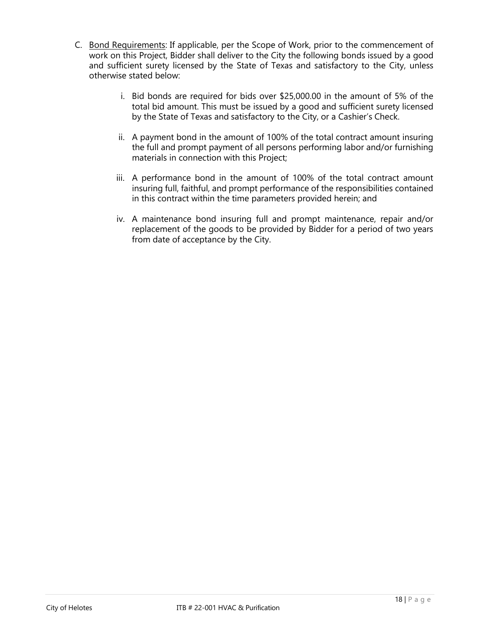- C. Bond Requirements: If applicable, per the Scope of Work, prior to the commencement of work on this Project, Bidder shall deliver to the City the following bonds issued by a good and sufficient surety licensed by the State of Texas and satisfactory to the City, unless otherwise stated below:
	- i. Bid bonds are required for bids over \$25,000.00 in the amount of 5% of the total bid amount. This must be issued by a good and sufficient surety licensed by the State of Texas and satisfactory to the City, or a Cashier's Check.
	- ii. A payment bond in the amount of 100% of the total contract amount insuring the full and prompt payment of all persons performing labor and/or furnishing materials in connection with this Project;
	- iii. A performance bond in the amount of 100% of the total contract amount insuring full, faithful, and prompt performance of the responsibilities contained in this contract within the time parameters provided herein; and
	- iv. A maintenance bond insuring full and prompt maintenance, repair and/or replacement of the goods to be provided by Bidder for a period of two years from date of acceptance by the City.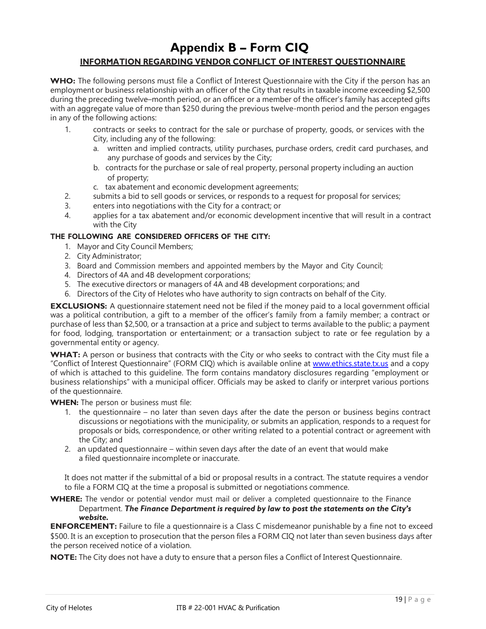# **Appendix B – Form CIQ**

# **INFORMATION REGARDING VENDOR CONFLICT OF INTEREST QUESTIONNAIRE**

**WHO:** The following persons must file a Conflict of Interest Questionnaire with the City if the person has an employment or business relationship with an officer of the City that results in taxable income exceeding \$2,500 during the preceding twelve–month period, or an officer or a member of the officer's family has accepted gifts with an aggregate value of more than \$250 during the previous twelve-month period and the person engages in any of the following actions:

- 1. contracts or seeks to contract for the sale or purchase of property, goods, or services with the City, including any of the following:
	- a. written and implied contracts, utility purchases, purchase orders, credit card purchases, and any purchase of goods and services by the City;
	- b. contracts for the purchase or sale of real property, personal property including an auction of property;
	- c. tax abatement and economic development agreements;
- 2. submits a bid to sell goods or services, or responds to a request for proposal for services;
- 3. enters into negotiations with the City for a contract; or
- 4. applies for a tax abatement and/or economic development incentive that will result in a contract with the City

### **THE FOLLOWING ARE CONSIDERED OFFICERS OF THE CITY:**

- 1. Mayor and City Council Members;
- 2. City Administrator;
- 3. Board and Commission members and appointed members by the Mayor and City Council;
- 4. Directors of 4A and 4B development corporations;
- 5. The executive directors or managers of 4A and 4B development corporations; and
- 6. Directors of the City of Helotes who have authority to sign contracts on behalf of the City.

**EXCLUSIONS:** A questionnaire statement need not be filed if the money paid to a local government official was a political contribution, a gift to a member of the officer's family from a family member; a contract or purchase of less than \$2,500, or a transaction at a price and subject to terms available to the public; a payment for food, lodging, transportation or entertainment; or a transaction subject to rate or fee regulation by a governmental entity or agency.

**WHAT:** A person or business that contracts with the City or who seeks to contract with the City must file a "Conflict of Interest Questionnaire" (FORM CIQ) which is available online at [www.ethics.state.tx.us a](http://www.ethics.state.tx.us/)nd a copy of which is attached to this guideline. The form contains mandatory disclosures regarding "employment or business relationships" with a municipal officer. Officials may be asked to clarify or interpret various portions of the questionnaire.

**WHEN:** The person or business must file:

- 1. the questionnaire no later than seven days after the date the person or business begins contract discussions or negotiations with the municipality, or submits an application, responds to a request for proposals or bids, correspondence, or other writing related to a potential contract or agreement with the City; and
- 2. an updated questionnaire within seven days after the date of an event that would make a filed questionnaire incomplete or inaccurate.

It does not matter if the submittal of a bid or proposal results in a contract. The statute requires a vendor to file a FORM CIQ at the time a proposal is submitted or negotiations commence.

**WHERE:** The vendor or potential vendor must mail or deliver a completed questionnaire to the Finance Department. *The Finance Department is required by law to post the statements on the City's website.*

**ENFORCEMENT:** Failure to file a questionnaire is a Class C misdemeanor punishable by a fine not to exceed \$500. It is an exception to prosecution that the person files a FORM CIQ not later than seven business days after the person received notice of a violation.

**NOTE:** The City does not have a duty to ensure that a person files a Conflict of Interest Questionnaire.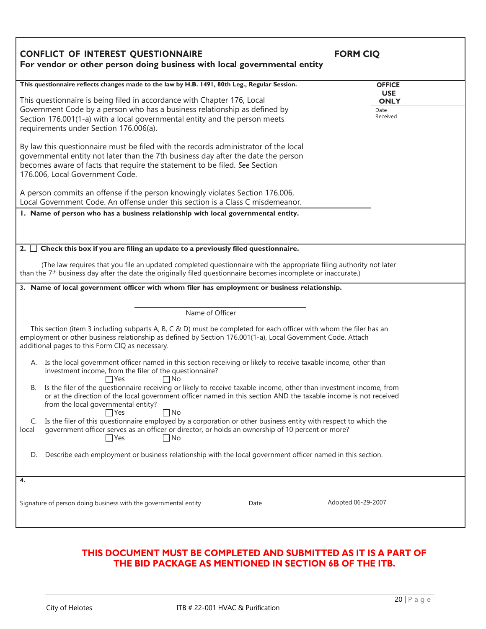| <b>CONFLICT OF INTEREST QUESTIONNAIRE</b><br><b>FORM CIQ</b>                                                                                                                                                                                                                                                                            |                                 |  |  |
|-----------------------------------------------------------------------------------------------------------------------------------------------------------------------------------------------------------------------------------------------------------------------------------------------------------------------------------------|---------------------------------|--|--|
| For vendor or other person doing business with local governmental entity                                                                                                                                                                                                                                                                |                                 |  |  |
| This questionnaire reflects changes made to the law by H.B. 1491, 80th Leg., Regular Session.                                                                                                                                                                                                                                           | <b>OFFICE</b><br><b>USE</b>     |  |  |
| This questionnaire is being filed in accordance with Chapter 176, Local<br>Government Code by a person who has a business relationship as defined by<br>Section 176.001(1-a) with a local governmental entity and the person meets<br>requirements under Section 176.006(a).                                                            | <b>ONLY</b><br>Date<br>Received |  |  |
| By law this questionnaire must be filed with the records administrator of the local<br>governmental entity not later than the 7th business day after the date the person<br>becomes aware of facts that require the statement to be filed. See Section<br>176.006, Local Government Code.                                               |                                 |  |  |
| A person commits an offense if the person knowingly violates Section 176.006,<br>Local Government Code. An offense under this section is a Class C misdemeanor.                                                                                                                                                                         |                                 |  |  |
| I. Name of person who has a business relationship with local governmental entity.                                                                                                                                                                                                                                                       |                                 |  |  |
|                                                                                                                                                                                                                                                                                                                                         |                                 |  |  |
|                                                                                                                                                                                                                                                                                                                                         |                                 |  |  |
| 2. $\Box$ Check this box if you are filing an update to a previously filed questionnaire.                                                                                                                                                                                                                                               |                                 |  |  |
| (The law requires that you file an updated completed questionnaire with the appropriate filing authority not later<br>than the 7 <sup>th</sup> business day after the date the originally filed questionnaire becomes incomplete or inaccurate.)                                                                                        |                                 |  |  |
| 3. Name of local government officer with whom filer has employment or business relationship.                                                                                                                                                                                                                                            |                                 |  |  |
|                                                                                                                                                                                                                                                                                                                                         |                                 |  |  |
| Name of Officer                                                                                                                                                                                                                                                                                                                         |                                 |  |  |
| This section (item 3 including subparts A, B, C & D) must be completed for each officer with whom the filer has an<br>employment or other business relationship as defined by Section 176.001(1-a), Local Government Code. Attach<br>additional pages to this Form CIQ as necessary.                                                    |                                 |  |  |
| A. Is the local government officer named in this section receiving or likely to receive taxable income, other than<br>investment income, from the filer of the questionnaire?                                                                                                                                                           |                                 |  |  |
| $\Box$ No<br>$\Box$ Yes<br>B. Is the filer of the questionnaire receiving or likely to receive taxable income, other than investment income, from<br>or at the direction of the local government officer named in this section AND the taxable income is not received<br>from the local governmental entity?<br>$\Box$ No<br>$\Box$ Yes |                                 |  |  |
| Is the filer of this questionnaire employed by a corporation or other business entity with respect to which the<br>C.<br>government officer serves as an officer or director, or holds an ownership of 10 percent or more?<br>local<br>$\Box$ Yes<br>$\Box$ No                                                                          |                                 |  |  |
| Describe each employment or business relationship with the local government officer named in this section.<br>D.                                                                                                                                                                                                                        |                                 |  |  |
| 4.                                                                                                                                                                                                                                                                                                                                      |                                 |  |  |
| Adopted 06-29-2007<br>Signature of person doing business with the governmental entity<br>Date                                                                                                                                                                                                                                           |                                 |  |  |

# **THIS DOCUMENT MUST BE COMPLETED AND SUBMITTED AS IT IS A PART OF THE BID PACKAGE AS MENTIONED IN SECTION 6B OF THE ITB.**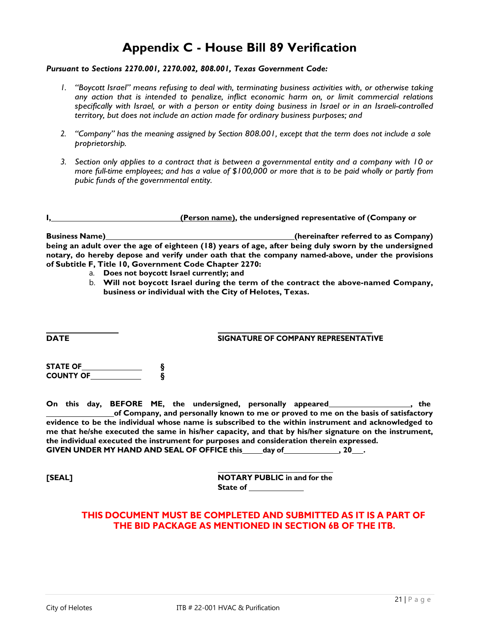# **Appendix C - House Bill 89 Verification**

#### *Pursuant to Sections 2270.001, 2270.002, 808.001, Texas Government Code:*

- *1. "Boycott Israel" means refusing to deal with, terminating business activities with, or otherwise taking any action that is intended to penalize, inflict economic harm on, or limit commercial relations specifically with Israel, or with a person or entity doing business in Israel or in an Israeli-controlled territory, but does not include an action made for ordinary business purposes; and*
- *2. "Company" has the meaning assigned by Section 808.001, except that the term does not include a sole proprietorship.*
- *3. Section only applies to a contract that is between a governmental entity and a company with 10 or more full-time employees; and has a value of \$100,000 or more that is to be paid wholly or partly from pubic funds of the governmental entity.*

|  | (Person name), the undersigned representative of (Company or |  |
|--|--------------------------------------------------------------|--|
|  |                                                              |  |

**Business Name) (hereinafter referred to as Company) being an adult over the age of eighteen (18) years of age, after being duly sworn by the undersigned notary, do hereby depose and verify under oath that the company named-above, under the provisions of Subtitle F, Title 10, Government Code Chapter 2270:**

- a. **Does not boycott Israel currently; and**
- b. **Will not boycott Israel during the term of the contract the above-named Company, business or individual with the City of Helotes, Texas.**

**DATE SIGNATURE OF COMPANY REPRESENTATIVE**

| <b>STATE OF</b>  |  |
|------------------|--|
| <b>COUNTY OF</b> |  |

**On this day, BEFORE ME, the undersigned, personally appeared , the of Company, and personally known to me or proved to me on the basis of satisfactory evidence to be the individual whose name is subscribed to the within instrument and acknowledged to me that he/she executed the same in his/her capacity, and that by his/her signature on the instrument, the individual executed the instrument for purposes and consideration therein expressed. GIVEN UNDER MY HAND AND SEAL OF OFFICE this day of , 20 .** 

**[SEAL] NOTARY PUBLIC in and for the State of**

# **THIS DOCUMENT MUST BE COMPLETED AND SUBMITTED AS IT IS A PART OF THE BID PACKAGE AS MENTIONED IN SECTION 6B OF THE ITB.**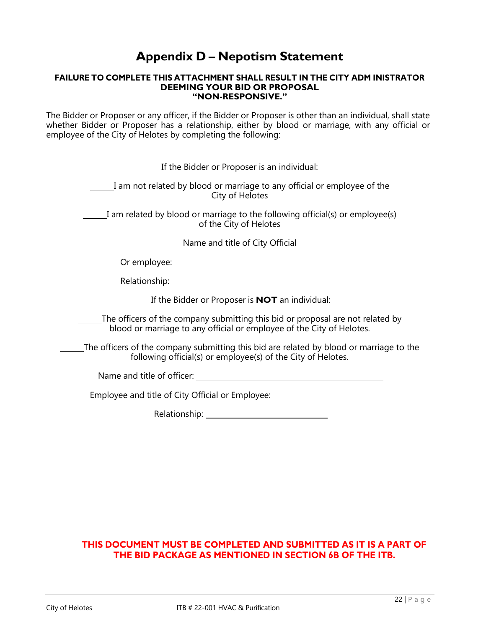# **Appendix D – Nepotism Statement**

#### **FAILURE TO COMPLETE THIS ATTACHMENT SHALL RESULT IN THE CITY ADM INISTRATOR DEEMING YOUR BID OR PROPOSAL "NON-RESPONSIVE."**

The Bidder or Proposer or any officer, if the Bidder or Proposer is other than an individual, shall state whether Bidder or Proposer has a relationship, either by blood or marriage, with any official or employee of the City of Helotes by completing the following:

| If the Bidder or Proposer is an individual:                                                                                                                                                                                          |
|--------------------------------------------------------------------------------------------------------------------------------------------------------------------------------------------------------------------------------------|
| I am not related by blood or marriage to any official or employee of the<br>City of Helotes                                                                                                                                          |
| I am related by blood or marriage to the following official(s) or employee(s)<br>of the City of Helotes                                                                                                                              |
| Name and title of City Official                                                                                                                                                                                                      |
| Or employee: <u>with a series of the series of the series of the series of the series of the series of the series of the series of the series of the series of the series of the series of the series of the series of the serie</u> |
|                                                                                                                                                                                                                                      |
| If the Bidder or Proposer is <b>NOT</b> an individual:                                                                                                                                                                               |
| The officers of the company submitting this bid or proposal are not related by<br>blood or marriage to any official or employee of the City of Helotes.                                                                              |
| The officers of the company submitting this bid are related by blood or marriage to the<br>following official(s) or employee(s) of the City of Helotes.                                                                              |
|                                                                                                                                                                                                                                      |
| Employee and title of City Official or Employee: _______________________________                                                                                                                                                     |

Relationship:

# **THIS DOCUMENT MUST BE COMPLETED AND SUBMITTED AS IT IS A PART OF THE BID PACKAGE AS MENTIONED IN SECTION 6B OF THE ITB.**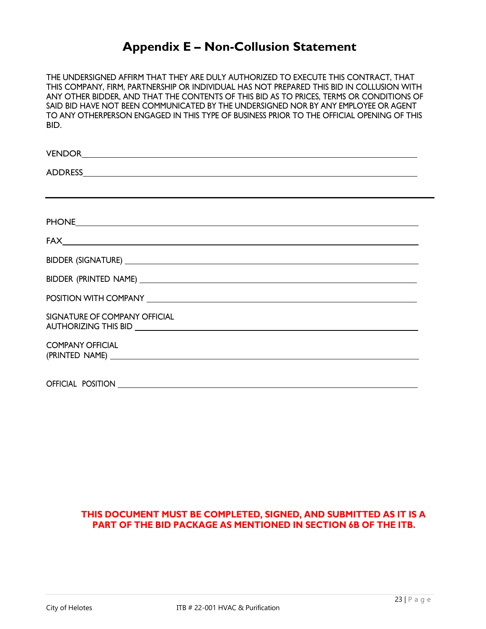# **Appendix E – Non-Collusion Statement**

THE UNDERSIGNED AFFIRM THAT THEY ARE DULY AUTHORIZED TO EXECUTE THIS CONTRACT, THAT THIS COMPANY, FIRM, PARTNERSHIP OR INDIVIDUAL HAS NOT PREPARED THIS BID IN COLLUSION WITH ANY OTHER BIDDER, AND THAT THE CONTENTS OF THIS BID AS TO PRICES, TERMS OR CONDITIONS OF SAID BID HAVE NOT BEEN COMMUNICATED BY THE UNDERSIGNED NOR BY ANY EMPLOYEE OR AGENT TO ANY OTHERPERSON ENGAGED IN THIS TYPE OF BUSINESS PRIOR TO THE OFFICIAL OPENING OF THIS BID.

| PHONE PHONE                                                   |  |
|---------------------------------------------------------------|--|
|                                                               |  |
|                                                               |  |
|                                                               |  |
|                                                               |  |
| SIGNATURE OF COMPANY OFFICIAL                                 |  |
| <b>COMPANY OFFICIAL</b><br>(PRINTED NAME) NAME (PRINTED NAME) |  |
|                                                               |  |

# **THIS DOCUMENT MUST BE COMPLETED, SIGNED, AND SUBMITTED AS IT IS A PART OF THE BID PACKAGE AS MENTIONED IN SECTION 6B OF THE ITB.**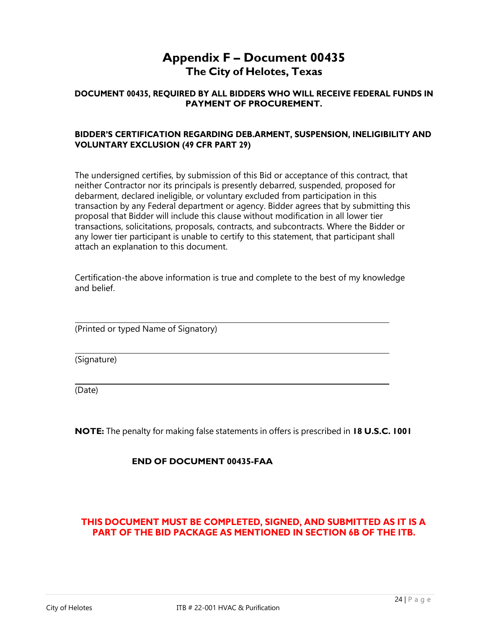# **Appendix F – Document 00435 The City of Helotes, Texas**

# **DOCUMENT 00435, REQUIRED BY ALL BIDDERS WHO WILL RECEIVE FEDERAL FUNDS IN PAYMENT OF PROCUREMENT.**

### **BIDDER'S CERTIFICATION REGARDING DEB.ARMENT, SUSPENSION, INELIGIBILITY AND VOLUNTARY EXCLUSION (49 CFR PART 29)**

The undersigned certifies, by submission of this Bid or acceptance of this contract, that neither Contractor nor its principals is presently debarred, suspended, proposed for debarment, declared ineligible, or voluntary excluded from participation in this transaction by any Federal department or agency. Bidder agrees that by submitting this proposal that Bidder will include this clause without modification in all lower tier transactions, solicitations, proposals, contracts, and subcontracts. Where the Bidder or any lower tier participant is unable to certify to this statement, that participant shall attach an explanation to this document.

Certification-the above information is true and complete to the best of my knowledge and belief.

(Printed or typed Name of Signatory)

(Signature)

(Date)

**NOTE:** The penalty for making false statements in offers is prescribed in **18 U.S.C. 1001**

# **END OF DOCUMENT 00435-FAA**

# **THIS DOCUMENT MUST BE COMPLETED, SIGNED, AND SUBMITTED AS IT IS A PART OF THE BID PACKAGE AS MENTIONED IN SECTION 6B OF THE ITB.**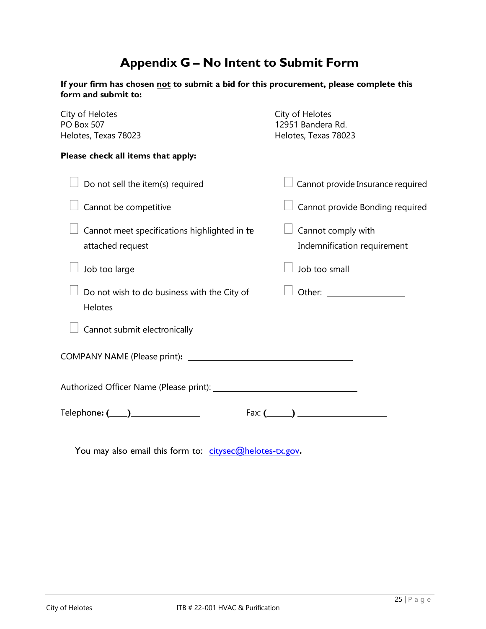# **Appendix G – No Intent to Submit Form**

| If your firm has chosen not to submit a bid for this procurement, please complete this |  |
|----------------------------------------------------------------------------------------|--|
| form and submit to:                                                                    |  |

| City of Helotes<br><b>PO Box 507</b><br>Helotes, Texas 78023     | City of Helotes<br>12951 Bandera Rd.<br>Helotes, Texas 78023 |  |
|------------------------------------------------------------------|--------------------------------------------------------------|--|
| Please check all items that apply:                               |                                                              |  |
| Do not sell the item(s) required                                 | Cannot provide Insurance required                            |  |
| Cannot be competitive                                            | Cannot provide Bonding required                              |  |
| Cannot meet specifications highlighted in te<br>attached request | Cannot comply with<br>Indemnification requirement            |  |
| Job too large                                                    | Job too small                                                |  |
| Do not wish to do business with the City of<br>Helotes           |                                                              |  |
| Cannot submit electronically                                     |                                                              |  |
|                                                                  |                                                              |  |
|                                                                  |                                                              |  |
| Telephon <b>e: (____)______________</b> __                       | Fax: $($ and $)$                                             |  |
|                                                                  |                                                              |  |

You may also email this form to: [citysec@helotes-tx.gov](mailto:citysec@helotes-tx.gov).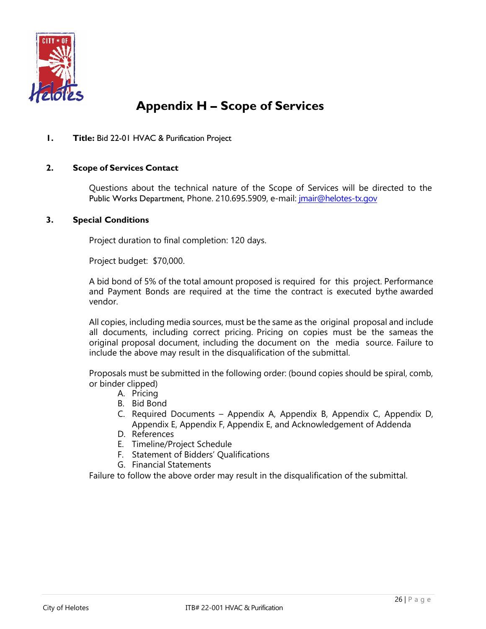

# **Appendix H – Scope of Services**

### **1. Title:** Bid 22-01 HVAC & Purification Project

### **2. Scope of Services Contact**

Questions about the technical nature of the Scope of Services will be directed to the Public Works Department, Phone. 210.695.5909, e-mail: *jmair@helotes-tx.gov* 

#### **3. Special Conditions**

Project duration to final completion: 120 days.

Project budget: \$70,000.

A bid bond of 5% of the total amount proposed is required for this project. Performance and Payment Bonds are required at the time the contract is executed bythe awarded vendor.

All copies, including media sources, must be the same as the original proposal and include all documents, including correct pricing. Pricing on copies must be the sameas the original proposal document, including the document on the media source. Failure to include the above may result in the disqualification of the submittal.

Proposals must be submitted in the following order: (bound copies should be spiral, comb, or binder clipped)

- A. Pricing
- B. Bid Bond
- C. Required Documents Appendix A, Appendix B, Appendix C, Appendix D, Appendix E, Appendix F, Appendix E, and Acknowledgement of Addenda
- D. References
- E. Timeline/Project Schedule
- F. Statement of Bidders' Qualifications
- G. Financial Statements

Failure to follow the above order may result in the disqualification of the submittal.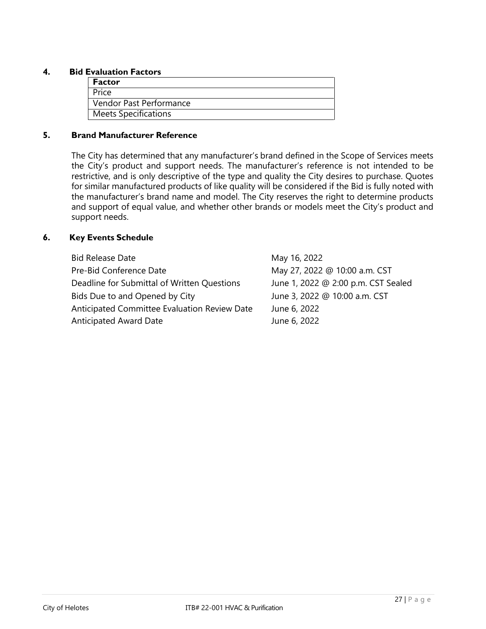### **4. Bid Evaluation Factors**

| <b>Factor</b>               |
|-----------------------------|
| Price                       |
| Vendor Past Performance     |
| <b>Meets Specifications</b> |

### **5. Brand Manufacturer Reference**

The City has determined that any manufacturer's brand defined in the Scope of Services meets the City's product and support needs. The manufacturer's reference is not intended to be restrictive, and is only descriptive of the type and quality the City desires to purchase. Quotes for similar manufactured products of like quality will be considered if the Bid is fully noted with the manufacturer's brand name and model. The City reserves the right to determine products and support of equal value, and whether other brands or models meet the City's product and support needs.

# **6. Key Events Schedule**

| <b>Bid Release Date</b>                      | May 16, 2022                        |
|----------------------------------------------|-------------------------------------|
| Pre-Bid Conference Date                      | May 27, 2022 @ 10:00 a.m. CST       |
| Deadline for Submittal of Written Questions  | June 1, 2022 @ 2:00 p.m. CST Sealed |
| Bids Due to and Opened by City               | June 3, 2022 @ 10:00 a.m. CST       |
| Anticipated Committee Evaluation Review Date | June 6, 2022                        |
| <b>Anticipated Award Date</b>                | June 6, 2022                        |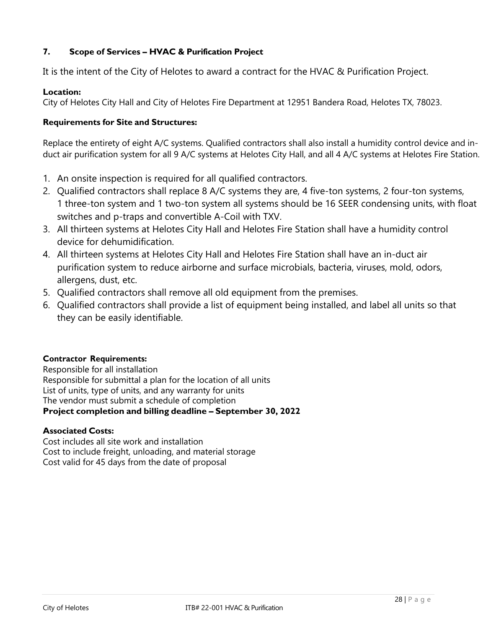# **7. Scope of Services – HVAC & Purification Project**

It is the intent of the City of Helotes to award a contract for the HVAC & Purification Project.

# **Location:**

City of Helotes City Hall and City of Helotes Fire Department at 12951 Bandera Road, Helotes TX, 78023.

# **Requirements for Site and Structures:**

Replace the entirety of eight A/C systems. Qualified contractors shall also install a humidity control device and induct air purification system for all 9 A/C systems at Helotes City Hall, and all 4 A/C systems at Helotes Fire Station.

- 1. An onsite inspection is required for all qualified contractors.
- 2. Qualified contractors shall replace 8 A/C systems they are, 4 five-ton systems, 2 four-ton systems, 1 three-ton system and 1 two-ton system all systems should be 16 SEER condensing units, with float switches and p-traps and convertible A-Coil with TXV.
- 3. All thirteen systems at Helotes City Hall and Helotes Fire Station shall have a humidity control device for dehumidification.
- 4. All thirteen systems at Helotes City Hall and Helotes Fire Station shall have an in-duct air purification system to reduce airborne and surface microbials, bacteria, viruses, mold, odors, allergens, dust, etc.
- 5. Qualified contractors shall remove all old equipment from the premises.
- 6. Qualified contractors shall provide a list of equipment being installed, and label all units so that they can be easily identifiable.

# **Contractor Requirements:**

Responsible for all installation Responsible for submittal a plan for the location of all units List of units, type of units, and any warranty for units The vendor must submit a schedule of completion **Project completion and billing deadline – September 30, 2022**

# **Associated Costs:**

Cost includes all site work and installation Cost to include freight, unloading, and material storage Cost valid for 45 days from the date of proposal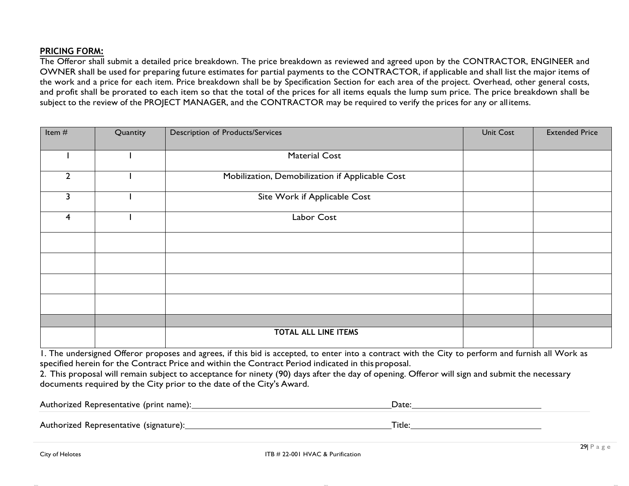# **PRICING FORM:**

The Offeror shall submit a detailed price breakdown. The price breakdown as reviewed and agreed upon by the CONTRACTOR, ENGINEER and OWNER shall be used for preparing future estimates for partial payments to the CONTRACTOR, if applicable and shall list the major items of the work and a price for each item. Price breakdown shall be by Specification Section for each area of the project. Overhead, other general costs, and profit shall be prorated to each item so that the total of the prices for all items equals the lump sum price. The price breakdown shall be subject to the review of the PROJECT MANAGER, and the CONTRACTOR may be required to verify the prices for any or all items.

| Item #         | Quantity | <b>Description of Products/Services</b>         | <b>Unit Cost</b> | <b>Extended Price</b> |
|----------------|----------|-------------------------------------------------|------------------|-----------------------|
|                |          | <b>Material Cost</b>                            |                  |                       |
| $\overline{2}$ |          | Mobilization, Demobilization if Applicable Cost |                  |                       |
| 3              |          | Site Work if Applicable Cost                    |                  |                       |
| $\overline{4}$ |          | Labor Cost                                      |                  |                       |
|                |          |                                                 |                  |                       |
|                |          |                                                 |                  |                       |
|                |          |                                                 |                  |                       |
|                |          |                                                 |                  |                       |
|                |          |                                                 |                  |                       |
|                |          | <b>TOTAL ALL LINE ITEMS</b>                     |                  |                       |

1. The undersigned Offeror proposes and agrees, if this bid is accepted, to enter into a contract with the City to perform and furnish all Work as specified herein for the Contract Price and within the Contract Period indicated in this proposal.

2. This proposal will remain subject to acceptance for ninety (90) days after the day of opening. Offeror will sign and submit the necessary documents required by the City prior to the date of the City's Award.

| Authorized Representative (print name): | Date:  |
|-----------------------------------------|--------|
| Authorized Representative (signature):  | Title: |

fakal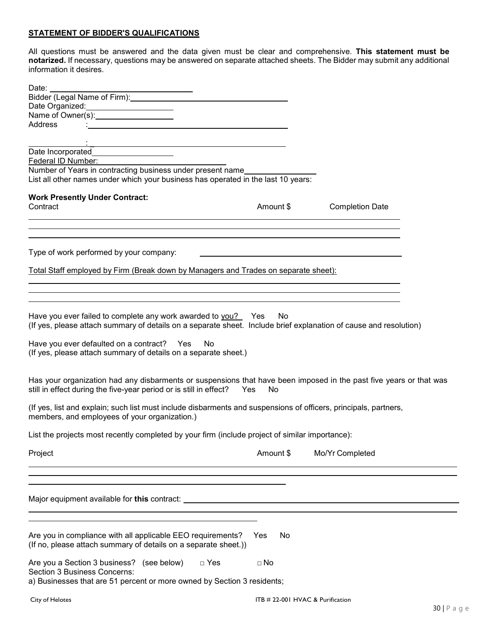#### **STATEMENT OF BIDDER'S QUALIFICATIONS**

All questions must be answered and the data given must be clear and comprehensive. **This statement must be notarized.** If necessary, questions may be answered on separate attached sheets. The Bidder may submit any additional information it desires.

| Date:                                                                                                                  |            |                                                                                                                      |  |
|------------------------------------------------------------------------------------------------------------------------|------------|----------------------------------------------------------------------------------------------------------------------|--|
| Bidder (Legal Name of Firm): Management Control of Sidder (Legal Name of Firm):                                        |            |                                                                                                                      |  |
| Date Organized:<br>Name of Owner(s):____________________                                                               |            |                                                                                                                      |  |
|                                                                                                                        |            |                                                                                                                      |  |
| Address                                                                                                                |            |                                                                                                                      |  |
|                                                                                                                        |            |                                                                                                                      |  |
| <u> 1989 - Johann Stoff, deutscher Stoffen und der Stoffen und der Stoffen und der Stoffen und der Stoffen und der</u> |            |                                                                                                                      |  |
| Date Incorporated_____________________                                                                                 |            |                                                                                                                      |  |
| Federal ID Number:<br>Number of Years in contracting business under present name                                       |            |                                                                                                                      |  |
| List all other names under which your business has operated in the last 10 years:                                      |            |                                                                                                                      |  |
|                                                                                                                        |            |                                                                                                                      |  |
| <b>Work Presently Under Contract:</b>                                                                                  |            |                                                                                                                      |  |
| Contract                                                                                                               | Amount \$  | <b>Completion Date</b>                                                                                               |  |
|                                                                                                                        |            |                                                                                                                      |  |
| ,我们也不会有什么。""我们的人,我们也不会有什么?""我们的人,我们也不会有什么?""我们的人,我们也不会有什么?""我们的人,我们也不会有什么?""我们的人                                       |            |                                                                                                                      |  |
|                                                                                                                        |            |                                                                                                                      |  |
|                                                                                                                        |            |                                                                                                                      |  |
| Type of work performed by your company:                                                                                |            | <u> 1980 - John Stein, marking and de Britain and de Britain and de Britain and de Britain and de Britain and de</u> |  |
|                                                                                                                        |            |                                                                                                                      |  |
| Total Staff employed by Firm (Break down by Managers and Trades on separate sheet):                                    |            |                                                                                                                      |  |
|                                                                                                                        |            |                                                                                                                      |  |
| ,我们也不会有一个人的人,我们也不会有一个人的人,我们也不会有一个人的人,我们也不会有一个人的人。""我们的人,我们也不会有一个人的人,我们也不会有一个人的人,                                       |            |                                                                                                                      |  |
|                                                                                                                        |            |                                                                                                                      |  |
|                                                                                                                        |            |                                                                                                                      |  |
| Have you ever failed to complete any work awarded to you? Yes                                                          | No.        |                                                                                                                      |  |
| (If yes, please attach summary of details on a separate sheet. Include brief explanation of cause and resolution)      |            |                                                                                                                      |  |
|                                                                                                                        |            |                                                                                                                      |  |
| Have you ever defaulted on a contract? Yes<br>No                                                                       |            |                                                                                                                      |  |
| (If yes, please attach summary of details on a separate sheet.)                                                        |            |                                                                                                                      |  |
|                                                                                                                        |            |                                                                                                                      |  |
| Has your organization had any disbarments or suspensions that have been imposed in the past five years or that was     |            |                                                                                                                      |  |
| still in effect during the five-year period or is still in effect? Yes                                                 | No         |                                                                                                                      |  |
|                                                                                                                        |            |                                                                                                                      |  |
| (If yes, list and explain; such list must include disbarments and suspensions of officers, principals, partners,       |            |                                                                                                                      |  |
| members, and employees of your organization.)                                                                          |            |                                                                                                                      |  |
|                                                                                                                        |            |                                                                                                                      |  |
| List the projects most recently completed by your firm (include project of similar importance):                        |            |                                                                                                                      |  |
|                                                                                                                        |            |                                                                                                                      |  |
| Project                                                                                                                | Amount \$  | Mo/Yr Completed                                                                                                      |  |
|                                                                                                                        |            |                                                                                                                      |  |
|                                                                                                                        |            |                                                                                                                      |  |
|                                                                                                                        |            |                                                                                                                      |  |
|                                                                                                                        |            |                                                                                                                      |  |
|                                                                                                                        |            |                                                                                                                      |  |
|                                                                                                                        |            |                                                                                                                      |  |
|                                                                                                                        |            |                                                                                                                      |  |
|                                                                                                                        |            |                                                                                                                      |  |
| Are you in compliance with all applicable EEO requirements?                                                            | Yes<br>No. |                                                                                                                      |  |
| (If no, please attach summary of details on a separate sheet.))                                                        |            |                                                                                                                      |  |
| $\Box$ Yes                                                                                                             |            |                                                                                                                      |  |
| Are you a Section 3 business? (see below)<br><b>Section 3 Business Concerns:</b>                                       | $\Box$ No  |                                                                                                                      |  |
| a) Businesses that are 51 percent or more owned by Section 3 residents;                                                |            |                                                                                                                      |  |
|                                                                                                                        |            |                                                                                                                      |  |
| City of Helotes                                                                                                        |            | ITB # 22-001 HVAC & Purification                                                                                     |  |
|                                                                                                                        |            |                                                                                                                      |  |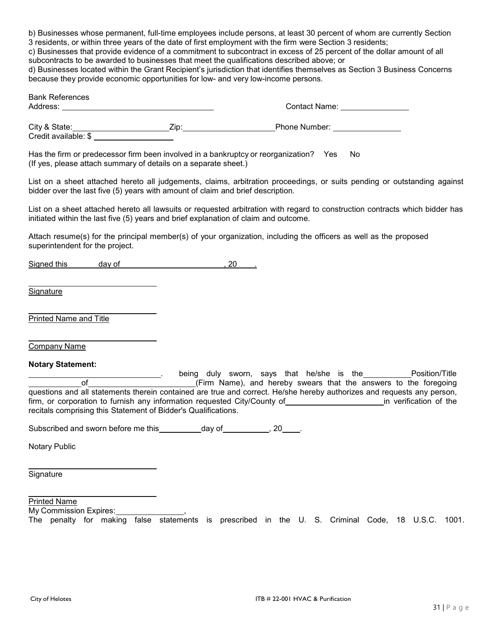b) Businesses whose permanent, full-time employees include persons, at least 30 percent of whom are currently Section 3 residents, or within three years of the date of first employment with the firm were Section 3 residents;

c) Businesses that provide evidence of a commitment to subcontract in excess of 25 percent of the dollar amount of all subcontracts to be awarded to businesses that meet the qualifications described above; or

d) Businesses located within the Grant Recipient's jurisdiction that identifies themselves as Section 3 Business Concerns because they provide economic opportunities for low- and very low-income persons.

| because they provide economic opportunities for low- and very low-income persons.                                                                                                                                                                                                                                                                                                                                                                                                                                   |  |                                                                                                                                                                                                                                                                                                                                                                                              |  |
|---------------------------------------------------------------------------------------------------------------------------------------------------------------------------------------------------------------------------------------------------------------------------------------------------------------------------------------------------------------------------------------------------------------------------------------------------------------------------------------------------------------------|--|----------------------------------------------------------------------------------------------------------------------------------------------------------------------------------------------------------------------------------------------------------------------------------------------------------------------------------------------------------------------------------------------|--|
| <b>Bank References</b>                                                                                                                                                                                                                                                                                                                                                                                                                                                                                              |  | Contact Name: University of the Contact Name:                                                                                                                                                                                                                                                                                                                                                |  |
|                                                                                                                                                                                                                                                                                                                                                                                                                                                                                                                     |  |                                                                                                                                                                                                                                                                                                                                                                                              |  |
| Has the firm or predecessor firm been involved in a bankruptcy or reorganization? Yes No<br>(If yes, please attach summary of details on a separate sheet.)                                                                                                                                                                                                                                                                                                                                                         |  |                                                                                                                                                                                                                                                                                                                                                                                              |  |
| bidder over the last five (5) years with amount of claim and brief description.                                                                                                                                                                                                                                                                                                                                                                                                                                     |  | List on a sheet attached hereto all judgements, claims, arbitration proceedings, or suits pending or outstanding against                                                                                                                                                                                                                                                                     |  |
| initiated within the last five (5) years and brief explanation of claim and outcome.                                                                                                                                                                                                                                                                                                                                                                                                                                |  | List on a sheet attached hereto all lawsuits or requested arbitration with regard to construction contracts which bidder has                                                                                                                                                                                                                                                                 |  |
| superintendent for the project.                                                                                                                                                                                                                                                                                                                                                                                                                                                                                     |  | Attach resume(s) for the principal member(s) of your organization, including the officers as well as the proposed                                                                                                                                                                                                                                                                            |  |
| Signed this day of the same of the same of the same of the same of the same of the same of the same of the same of the same of the same of the same of the same of the same of the same of the same of the same of the same of                                                                                                                                                                                                                                                                                      |  |                                                                                                                                                                                                                                                                                                                                                                                              |  |
| Signature                                                                                                                                                                                                                                                                                                                                                                                                                                                                                                           |  |                                                                                                                                                                                                                                                                                                                                                                                              |  |
| Printed Name and Title                                                                                                                                                                                                                                                                                                                                                                                                                                                                                              |  |                                                                                                                                                                                                                                                                                                                                                                                              |  |
| Company Name                                                                                                                                                                                                                                                                                                                                                                                                                                                                                                        |  |                                                                                                                                                                                                                                                                                                                                                                                              |  |
| <b>Notary Statement:</b><br>$of$ and $\overline{a}$ and $\overline{a}$ and $\overline{a}$ and $\overline{a}$ and $\overline{a}$ and $\overline{a}$ and $\overline{a}$ and $\overline{a}$ and $\overline{a}$ and $\overline{a}$ and $\overline{a}$ and $\overline{a}$ and $\overline{a}$ and $\overline{a}$ and $\overline{a}$ and $\overline{a}$ and $\overline{$<br>recitals comprising this Statement of Bidder's Qualifications.<br>Subscribed and sworn before me this ____________day of ___________, 20_____. |  | being duly sworn, says that he/she is the _______________Position/Title<br>(Firm Name), and hereby swears that the answers to the foregoing<br>questions and all statements therein contained are true and correct. He/she hereby authorizes and requests any person,<br>firm, or corporation to furnish any information requested City/County of <b>Example 2018</b> in verification of the |  |
| <b>Notary Public</b>                                                                                                                                                                                                                                                                                                                                                                                                                                                                                                |  |                                                                                                                                                                                                                                                                                                                                                                                              |  |
|                                                                                                                                                                                                                                                                                                                                                                                                                                                                                                                     |  |                                                                                                                                                                                                                                                                                                                                                                                              |  |

**Signature** 

Printed Name

My Commission Expires: The penalty for making false statements is prescribed in the U. S. Criminal Code, 18 U.S.C. 1001.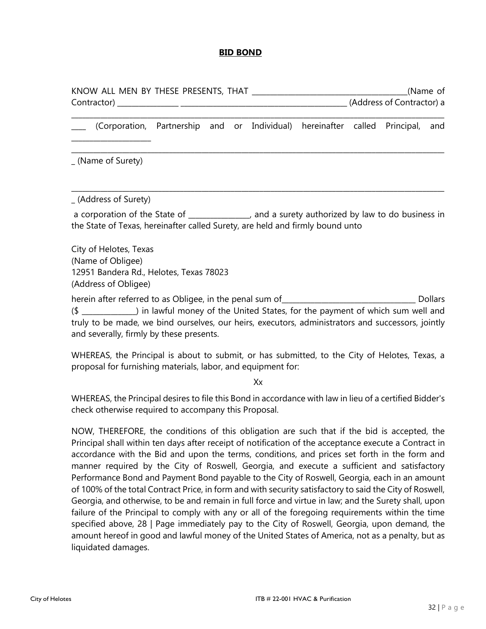#### **BID BOND**

| KNOW ALL MEN BY THESE PRESENTS, THAT | (Name of                  |
|--------------------------------------|---------------------------|
| Contractor)                          | (Address of Contractor) a |
|                                      |                           |

\_\_\_\_ (Corporation, Partnership and or Individual) hereinafter called Principal, and

\_\_\_\_\_\_\_\_\_\_\_\_\_\_\_\_\_\_\_\_\_\_\_\_\_\_\_\_\_\_\_\_\_\_\_\_\_\_\_\_\_\_\_\_\_\_\_\_\_\_\_\_\_\_\_\_\_\_\_\_\_\_\_\_\_\_\_\_\_\_\_\_\_\_\_\_\_\_\_\_\_\_\_\_\_\_\_\_\_\_\_\_\_\_\_\_\_\_\_\_\_\_\_

\_ (Name of Surety)

\_\_\_\_\_\_\_\_\_\_\_\_\_\_\_\_\_\_\_\_\_\_

\_ (Address of Surety)

a corporation of the State of  $\qquad \qquad$ , and a surety authorized by law to do business in the State of Texas, hereinafter called Surety, are held and firmly bound unto

\_\_\_\_\_\_\_\_\_\_\_\_\_\_\_\_\_\_\_\_\_\_\_\_\_\_\_\_\_\_\_\_\_\_\_\_\_\_\_\_\_\_\_\_\_\_\_\_\_\_\_\_\_\_\_\_\_\_\_\_\_\_\_\_\_\_\_\_\_\_\_\_\_\_\_\_\_\_\_\_\_\_\_\_\_\_\_\_\_\_\_\_\_\_\_\_\_\_\_\_\_\_\_

City of Helotes, Texas (Name of Obligee) 12951 Bandera Rd., Helotes, Texas 78023 (Address of Obligee)

herein after referred to as Obligee, in the penal sum of Theorem Collars Dollars (\$ \_\_\_\_\_\_\_\_\_\_\_\_\_\_\_) in lawful money of the United States, for the payment of which sum well and truly to be made, we bind ourselves, our heirs, executors, administrators and successors, jointly and severally, firmly by these presents.

WHEREAS, the Principal is about to submit, or has submitted, to the City of Helotes, Texas, a proposal for furnishing materials, labor, and equipment for:

Xx

WHEREAS, the Principal desires to file this Bond in accordance with law in lieu of a certified Bidder's check otherwise required to accompany this Proposal.

NOW, THEREFORE, the conditions of this obligation are such that if the bid is accepted, the Principal shall within ten days after receipt of notification of the acceptance execute a Contract in accordance with the Bid and upon the terms, conditions, and prices set forth in the form and manner required by the City of Roswell, Georgia, and execute a sufficient and satisfactory Performance Bond and Payment Bond payable to the City of Roswell, Georgia, each in an amount of 100% of the total Contract Price, in form and with security satisfactory to said the City of Roswell, Georgia, and otherwise, to be and remain in full force and virtue in law; and the Surety shall, upon failure of the Principal to comply with any or all of the foregoing requirements within the time specified above, 28 | Page immediately pay to the City of Roswell, Georgia, upon demand, the amount hereof in good and lawful money of the United States of America, not as a penalty, but as liquidated damages.